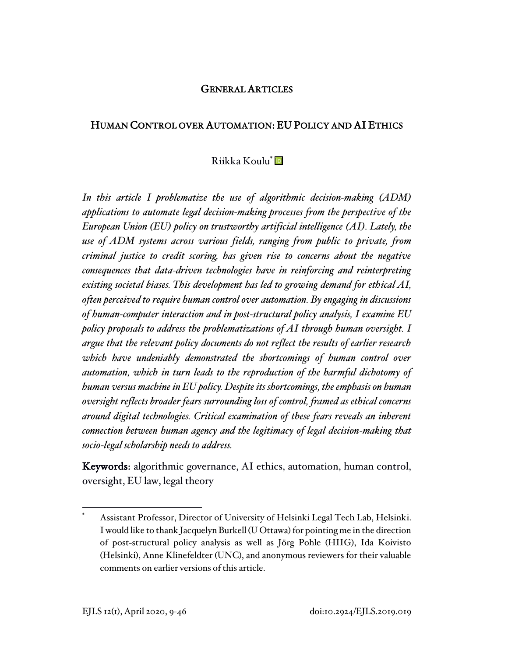## GENERAL ARTICLES

### HUMAN CONTROL OVER AUTOMATION: EU POLICY AND AI ETHICS

### Riikka Koulu\*

*In this article I problematize the use of algorithmic decision-making (ADM) applications to automate legal decision-making processes from the perspective of the European Union (EU) policy on trustworthy artificial intelligence (AI). Lately, the use of ADM systems across various fields, ranging from public to private, from criminal justice to credit scoring, has given rise to concerns about the negative consequences that data-driven technologies have in reinforcing and reinterpreting existing societal biases. This development has led to growing demand for ethical AI, often perceived to require human control over automation. By engaging in discussions of human-computer interaction and in post-structural policy analysis, I examine EU policy proposals to address the problematizations of AI through human oversight. I argue that the relevant policy documents do not reflect the results of earlier research which have undeniably demonstrated the shortcomings of human control over automation, which in turn leads to the reproduction of the harmful dichotomy of human versus machine in EU policy. Despite its shortcomings, the emphasis on human oversight reflects broader fears surrounding loss of control, framed as ethical concerns around digital technologies. Critical examination of these fears reveals an inherent connection between human agency and the legitimacy of legal decision-making that socio-legal scholarship needs to address.*

Keywords: algorithmic governance, AI ethics, automation, human control, oversight, EU law, legal theory

Assistant Professor, Director of University of Helsinki Legal Tech Lab, Helsinki. I would like to thank Jacquelyn Burkell (U Ottawa) for pointing me in the direction of post-structural policy analysis as well as Jörg Pohle (HIIG), Ida Koivisto (Helsinki), Anne Klinefeldter (UNC), and anonymous reviewers for their valuable comments on earlier versions of this article.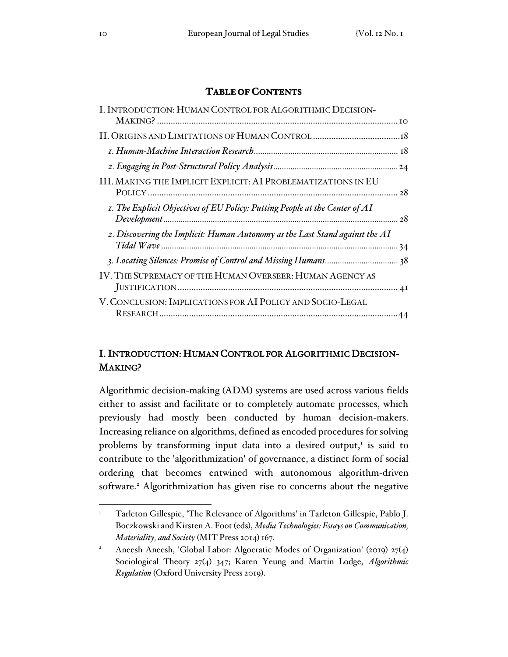## **TABLE OF CONTENTS**

| I. INTRODUCTION: HUMAN CONTROL FOR ALGORITHMIC DECISION-                     |  |
|------------------------------------------------------------------------------|--|
|                                                                              |  |
|                                                                              |  |
|                                                                              |  |
|                                                                              |  |
| III. MAKING THE IMPLICIT EXPLICIT: AI PROBLEMATIZATIONS IN EU                |  |
| I. The Explicit Objectives of EU Policy: Putting People at the Center of AI  |  |
| 2. Discovering the Implicit: Human Autonomy as the Last Stand against the AI |  |
|                                                                              |  |
| IV. THE SUPREMACY OF THE HUMAN OVERSEER: HUMAN AGENCY AS                     |  |
| V. CONCLUSION: IMPLICATIONS FOR AI POLICY AND SOCIO-LEGAL                    |  |

# I. INTRODUCTION: HUMAN CONTROL FOR ALGORITHMIC DECISION-MAKING?

Algorithmic decision-making (ADM) systems are used across various fields either to assist and facilitate or to completely automate processes, which previously had mostly been conducted by human decision-makers. Increasing reliance on algorithms, defined as encoded procedures for solving problems by transforming input data into a desired output,<sup>1</sup> is said to contribute to the 'algorithmization' of governance, a distinct form of social ordering that becomes entwined with autonomous algorithm-driven software. <sup>2</sup> Algorithmization has given rise to concerns about the negative

<sup>&</sup>lt;sup>1</sup> Tarleton Gillespie, 'The Relevance of Algorithms' in Tarleton Gillespie, Pablo J. Boczkowski and Kirsten A. Foot (eds), *Media Technologies: Essays on Communication, Materiality, and Society* (MIT Press 2014) 167.

<sup>&</sup>lt;sup>2</sup> Aneesh Aneesh, 'Global Labor: Algocratic Modes of Organization' (2019) 27(4) Sociological Theory 27(4) 347; Karen Yeung and Martin Lodge, *Algorithmic Regulation* (Oxford University Press 2019).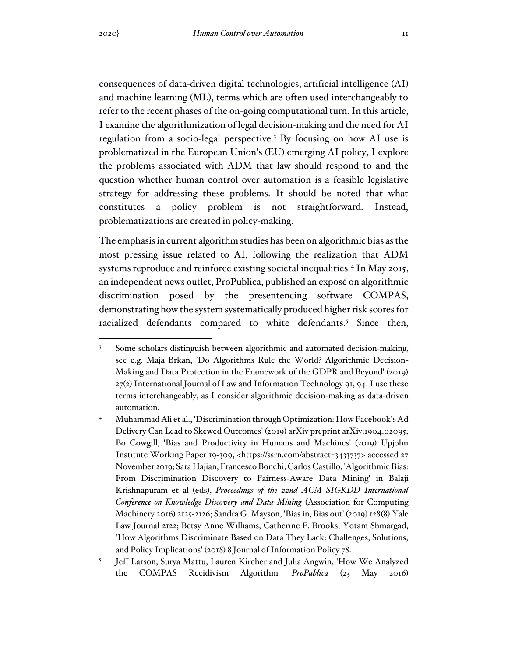consequences of data-driven digital technologies, artificial intelligence (AI) and machine learning (ML), terms which are often used interchangeably to refer to the recent phases of the on-going computational turn. In this article, I examine the algorithmization of legal decision-making and the need for AI regulation from a socio-legal perspective. <sup>3</sup> By focusing on how AI use is problematized in the European Union's (EU) emerging AI policy, I explore the problems associated with ADM that law should respond to and the question whether human control over automation is a feasible legislative strategy for addressing these problems. It should be noted that what constitutes a policy problem is not straightforward. Instead, problematizations are created in policy-making.

The emphasis in current algorithm studies has been on algorithmic bias as the most pressing issue related to AI, following the realization that ADM systems reproduce and reinforce existing societal inequalities. 4 In May 2015, an independent news outlet, ProPublica, published an exposé on algorithmic discrimination posed by the presentencing software COMPAS, demonstrating how the system systematically produced higher risk scores for racialized defendants compared to white defendants. <sup>5</sup> Since then,

<sup>&</sup>lt;sup>3</sup> Some scholars distinguish between algorithmic and automated decision-making, see e.g. Maja Brkan, 'Do Algorithms Rule the World? Algorithmic Decision-Making and Data Protection in the Framework of the GDPR and Beyond' (2019)  $27(2)$  International Journal of Law and Information Technology 91, 94. I use these terms interchangeably, as I consider algorithmic decision-making as data-driven automation.

<sup>4</sup> Muhammad Ali et al., 'Discrimination through Optimization: How Facebook's Ad Delivery Can Lead to Skewed Outcomes' (2019) arXiv preprint arXiv:1904.02095; Bo Cowgill, 'Bias and Productivity in Humans and Machines' (2019) Upjohn Institute Working Paper 19-309, <https://ssrn.com/abstract=3433737> accessed 27 November 2019; Sara Hajian, FrancescoBonchi, Carlos Castillo, 'Algorithmic Bias: From Discrimination Discovery to Fairness-Aware Data Mining' in Balaji Krishnapuram et al (eds), *Proceedings of the 22nd ACM SIGKDD International Conference on Knowledge Discovery and Data Mining* (Association for Computing Machinery 2016) 2125-2126; Sandra G. Mayson, 'Bias in, Bias out' (2019) 128(8) Yale Law Journal 2122; Betsy Anne Williams, Catherine F. Brooks, Yotam Shmargad, 'How Algorithms Discriminate Based on Data They Lack: Challenges, Solutions, and Policy Implications' (2018) 8 Journal of Information Policy 78.

<sup>5</sup> Jeff Larson, Surya Mattu, Lauren Kircher and Julia Angwin, 'How We Analyzed the COMPAS Recidivism Algorithm' *ProPublica* (23 May 2016)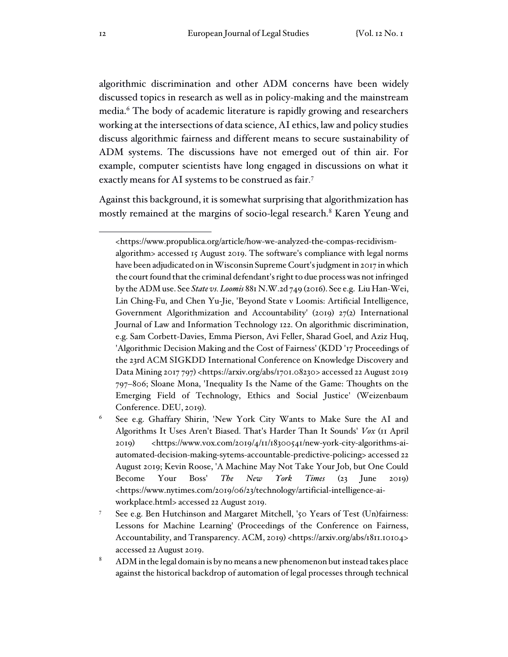algorithmic discrimination and other ADM concerns have been widely discussed topics in research as well as in policy-making and the mainstream media. <sup>6</sup> The body of academic literature is rapidly growing and researchers working at the intersections of data science, AI ethics, law and policy studies discuss algorithmic fairness and different means to secure sustainability of ADM systems. The discussions have not emerged out of thin air. For example, computer scientists have long engaged in discussions on what it exactly means for AI systems to be construed as fair. 7

Against this background, it is somewhat surprising that algorithmization has mostly remained at the margins of socio-legal research. <sup>8</sup> Karen Yeung and

<sup>&</sup>lt;https://www.propublica.org/article/how-we-analyzed-the-compas-recidivismalgorithm> accessed 15 August 2019. The software's compliance with legal norms have been adjudicated on in Wisconsin Supreme Court's judgment in 2017 in which the court found that the criminal defendant's right to due process was not infringed by the ADM use. See *State vs. Loomis* 881 N.W.2d 749 (2016). See e.g. Liu Han-Wei, Lin Ching-Fu, and Chen Yu-Jie, 'Beyond State v Loomis: Artificial Intelligence, Government Algorithmization and Accountability' (2019)  $27(2)$  International Journal of Law and Information Technology 122. On algorithmic discrimination, e.g. Sam Corbett-Davies, Emma Pierson, Avi Feller, Sharad Goel, and Aziz Huq, 'Algorithmic Decision Making and the Cost of Fairness' (KDD '17 Proceedings of the 23rd ACM SIGKDD International Conference on Knowledge Discovery and Data Mining 2017 797) <https://arxiv.org/abs/1701.08230> accessed 22 August 2019 797–806; Sloane Mona, 'Inequality Is the Name of the Game: Thoughts on the Emerging Field of Technology, Ethics and Social Justice' (Weizenbaum Conference. DEU, 2019).

<sup>6</sup> See e.g. Ghaffary Shirin, 'New York City Wants to Make Sure the AI and Algorithms It Uses Aren't Biased. That's Harder Than It Sounds' *Vox* (11 April 2019) <https://www.vox.com/2019/4/11/18300541/new-york-city-algorithms-aiautomated-decision-making-sytems-accountable-predictive-policing> accessed 22 August 2019; Kevin Roose, 'A Machine May Not Take Your Job, but One Could Become Your Boss' *The New York Times* (23 June 2019) <https://www.nytimes.com/2019/06/23/technology/artificial-intelligence-aiworkplace.html> accessed 22 August 2019.

<sup>7</sup> See e.g. Ben Hutchinson and Margaret Mitchell, '50 Years of Test (Un)fairness: Lessons for Machine Learning' (Proceedings of the Conference on Fairness, Accountability, and Transparency. ACM, 2019) <https://arxiv.org/abs/1811.10104> accessed 22 August 2019.

 $8$  ADM in the legal domain is by no means a new phenomenon but instead takes place against the historical backdrop of automation of legal processes through technical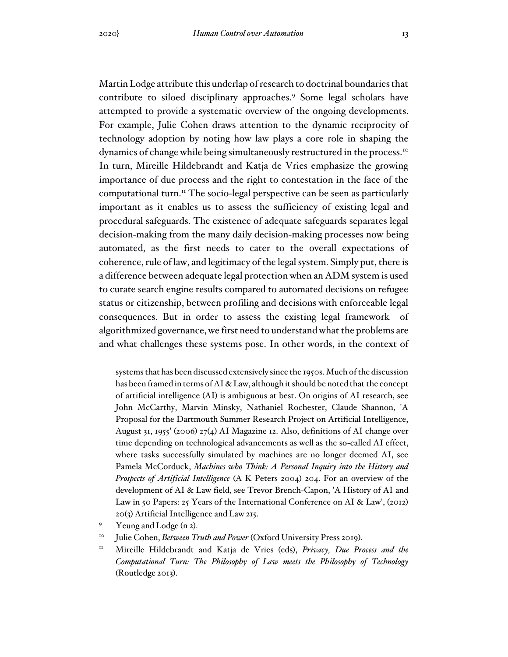Martin Lodge attribute this underlap of research to doctrinal boundaries that contribute to siloed disciplinary approaches.<sup>9</sup> Some legal scholars have attempted to provide a systematic overview of the ongoing developments. For example, Julie Cohen draws attention to the dynamic reciprocity of technology adoption by noting how law plays a core role in shaping the dynamics of change while being simultaneously restructured in the process.<sup>10</sup> In turn, Mireille Hildebrandt and Katja de Vries emphasize the growing importance of due process and the right to contestation in the face of the computational turn. <sup>11</sup> The socio-legal perspective can be seen as particularly important as it enables us to assess the sufficiency of existing legal and procedural safeguards. The existence of adequate safeguards separates legal decision-making from the many daily decision-making processes now being automated, as the first needs to cater to the overall expectations of coherence, rule of law, and legitimacy of the legal system. Simply put, there is a difference between adequate legal protection when an ADM system is used to curate search engine results compared to automated decisions on refugee status or citizenship, between profiling and decisions with enforceable legal consequences. But in order to assess the existing legal framework of algorithmized governance, we first need to understand what the problems are and what challenges these systems pose. In other words, in the context of

systemsthat has been discussed extensively since the 1950s. Much ofthe discussion has been framed in terms of AI & Law, although it should be noted that the concept of artificial intelligence (AI) is ambiguous at best. On origins of AI research, see John McCarthy, Marvin Minsky, Nathaniel Rochester, Claude Shannon, 'A Proposal for the Dartmouth Summer Research Project on Artificial Intelligence, August 31, 1955' (2006) 27(4) AI Magazine 12. Also, definitions of AI change over time depending on technological advancements as well as the so-called AI effect, where tasks successfully simulated by machines are no longer deemed AI, see Pamela McCorduck, *Machines who Think: A Personal Inquiry into the History and Prospects of Artificial Intelligence* (A K Peters 2004) 204. For an overview of the development of AI & Law field, see Trevor Brench-Capon, 'A History of AI and Law in 50 Papers: 25 Years of the International Conference on AI & Law', (2012) 20(3) Artificial Intelligence and Law 215.

<sup>9</sup> Yeung and Lodge (n 2).

<sup>10</sup> Julie Cohen, *Between Truth and Power* (Oxford University Press 2019).

<sup>11</sup> Mireille Hildebrandt and Katja de Vries (eds), *Privacy, Due Process and the Computational Turn: The Philosophy of Law meets the Philosophy of Technology* (Routledge 2013).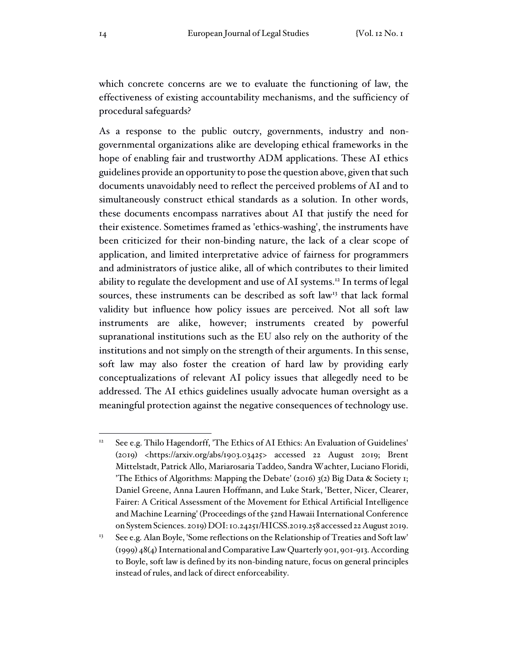which concrete concerns are we to evaluate the functioning of law, the effectiveness of existing accountability mechanisms, and the sufficiency of procedural safeguards?

As a response to the public outcry, governments, industry and nongovernmental organizations alike are developing ethical frameworks in the hope of enabling fair and trustworthy ADM applications. These AI ethics guidelines provide an opportunity to pose the question above, given that such documents unavoidably need to reflect the perceived problems of AI and to simultaneously construct ethical standards as a solution. In other words, these documents encompass narratives about AI that justify the need for their existence. Sometimes framed as 'ethics-washing', the instruments have been criticized for their non-binding nature, the lack of a clear scope of application, and limited interpretative advice of fairness for programmers and administrators of justice alike, all of which contributes to their limited ability to regulate the development and use of AI systems. 12 In terms of legal sources, these instruments can be described as soft law<sup>13</sup> that lack formal validity but influence how policy issues are perceived. Not all soft law instruments are alike, however; instruments created by powerful supranational institutions such as the EU also rely on the authority of the institutions and not simply on the strength of their arguments. In this sense, soft law may also foster the creation of hard law by providing early conceptualizations of relevant AI policy issues that allegedly need to be addressed. The AI ethics guidelines usually advocate human oversight as a meaningful protection against the negative consequences of technology use.

 $12$  See e.g. Thilo Hagendorff, 'The Ethics of AI Ethics: An Evaluation of Guidelines' (2019) <https://arxiv.org/abs/1903.03425> accessed 22 August 2019; Brent Mittelstadt, Patrick Allo, Mariarosaria Taddeo, Sandra Wachter, Luciano Floridi, 'The Ethics of Algorithms: Mapping the Debate' (2016) 3(2) Big Data & Society 1; Daniel Greene, Anna Lauren Hoffmann, and Luke Stark, 'Better, Nicer, Clearer, Fairer: A Critical Assessment of the Movement for Ethical Artificial Intelligence and Machine Learning' (Proceedings ofthe 52nd Hawaii International Conference on System Sciences. 2019) DOI:10.24251/HICSS.2019.258 accessed 22 August 2019.

<sup>&</sup>lt;sup>13</sup> See e.g. Alan Boyle, 'Some reflections on the Relationship of Treaties and Soft law' (1999) 48(4) International and Comparative Law Quarterly 901, 901-913. According to Boyle, soft law is defined by its non-binding nature, focus on general principles instead of rules, and lack of direct enforceability.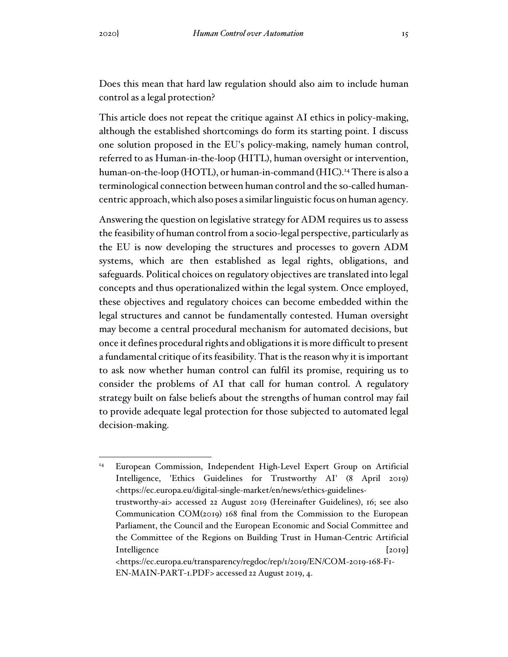Does this mean that hard law regulation should also aim to include human control as a legal protection?

This article does not repeat the critique against AI ethics in policy-making, although the established shortcomings do form its starting point. I discuss one solution proposed in the EU's policy-making, namely human control, referred to as Human-in-the-loop (HITL), human oversight or intervention, human-on-the-loop (HOTL), or human-in-command (HIC). <sup>14</sup> There is also a terminological connection between human control and the so-called humancentric approach, which also poses a similar linguistic focus on human agency.

Answering the question on legislative strategy for ADM requires us to assess the feasibility of human control from a socio-legal perspective, particularly as the EU is now developing the structures and processes to govern ADM systems, which are then established as legal rights, obligations, and safeguards. Political choices on regulatory objectives are translated into legal concepts and thus operationalized within the legal system. Once employed, these objectives and regulatory choices can become embedded within the legal structures and cannot be fundamentally contested. Human oversight may become a central procedural mechanism for automated decisions, but once it defines procedural rights and obligations it is more difficult to present a fundamental critique of its feasibility. That is the reason why it is important to ask now whether human control can fulfil its promise, requiring us to consider the problems of AI that call for human control. A regulatory strategy built on false beliefs about the strengths of human control may fail to provide adequate legal protection for those subjected to automated legal decision-making.

<sup>&</sup>lt;sup>14</sup> European Commission, Independent High-Level Expert Group on Artificial Intelligence, 'Ethics Guidelines for Trustworthy AI' (8 April 2019) <https://ec.europa.eu/digital-single-market/en/news/ethics-guidelinestrustworthy-ai> accessed 22 August 2019 (Hereinafter Guidelines), 16; see also Communication COM(2019) 168 final from the Commission to the European Parliament, the Council and the European Economic and Social Committee and the Committee of the Regions on Building Trust in Human-Centric Artificial Intelligence [2019] <https://ec.europa.eu/transparency/regdoc/rep/1/2019/EN/COM-2019-168-F1-

EN-MAIN-PART-1.PDF> accessed 22 August 2019, 4.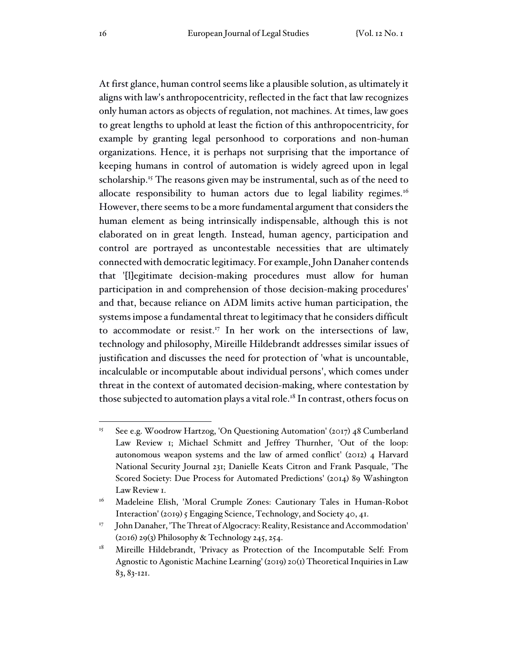At first glance, human control seems like a plausible solution, as ultimately it aligns with law's anthropocentricity, reflected in the fact that law recognizes only human actors as objects of regulation, not machines. At times, law goes to great lengths to uphold at least the fiction of this anthropocentricity, for example by granting legal personhood to corporations and non-human organizations. Hence, it is perhaps not surprising that the importance of keeping humans in control of automation is widely agreed upon in legal scholarship.<sup>15</sup> The reasons given may be instrumental, such as of the need to allocate responsibility to human actors due to legal liability regimes.<sup>16</sup> However, there seems to be a more fundamental argument that considers the human element as being intrinsically indispensable, although this is not elaborated on in great length. Instead, human agency, participation and control are portrayed as uncontestable necessities that are ultimately connected with democratic legitimacy. For example,John Danaher contends that '[l]egitimate decision-making procedures must allow for human participation in and comprehension of those decision-making procedures' and that, because reliance on ADM limits active human participation, the systems impose a fundamental threat to legitimacy that he considers difficult to accommodate or resist.<sup>17</sup> In her work on the intersections of law, technology and philosophy, Mireille Hildebrandt addresses similar issues of justification and discusses the need for protection of 'what is uncountable, incalculable or incomputable about individual persons', which comes under threat in the context of automated decision-making, where contestation by those subjected to automation plays a vital role.<sup>18</sup> In contrast, others focus on

<sup>&</sup>lt;sup>15</sup> See e.g. Woodrow Hartzog, 'On Questioning Automation' (2017) 48 Cumberland Law Review 1; Michael Schmitt and Jeffrey Thurnher, 'Out of the loop: autonomous weapon systems and the law of armed conflict' (2012) 4 Harvard National Security Journal 231; Danielle Keats Citron and Frank Pasquale, 'The Scored Society: Due Process for Automated Predictions' (2014) 89 Washington Law Review 1.

<sup>&</sup>lt;sup>16</sup> Madeleine Elish, 'Moral Crumple Zones: Cautionary Tales in Human-Robot Interaction' (2019) 5 Engaging Science, Technology, and Society 40, 41.

<sup>17</sup> John Danaher, 'The Threat of Algocracy: Reality, Resistance and Accommodation' (2016) 29(3) Philosophy & Technology 245, 254.

<sup>&</sup>lt;sup>18</sup> Mireille Hildebrandt, 'Privacy as Protection of the Incomputable Self: From Agnostic to Agonistic Machine Learning' (2019) 20(1) Theoretical Inquiriesin Law 83, 83-121.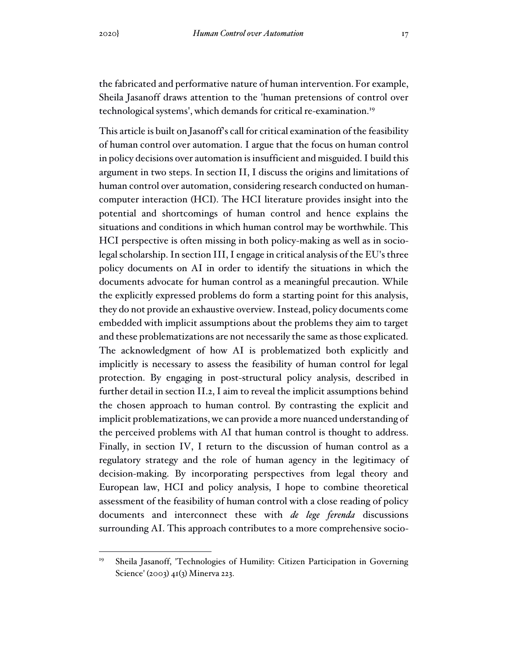the fabricated and performative nature of human intervention. For example, Sheila Jasanoff draws attention to the 'human pretensions of control over technological systems', which demands for critical re-examination. 19

This article is built on Jasanoff's call for critical examination of the feasibility of human control over automation. I argue that the focus on human control in policy decisions over automation is insufficient and misguided. I build this argument in two steps. In section II, I discuss the origins and limitations of human control over automation, considering research conducted on humancomputer interaction (HCI). The HCI literature provides insight into the potential and shortcomings of human control and hence explains the situations and conditions in which human control may be worthwhile. This HCI perspective is often missing in both policy-making as well as in sociolegal scholarship. In section III, I engage in critical analysis of the EU's three policy documents on AI in order to identify the situations in which the documents advocate for human control as a meaningful precaution. While the explicitly expressed problems do form a starting point for this analysis, they do not provide an exhaustive overview. Instead, policy documents come embedded with implicit assumptions about the problems they aim to target and these problematizations are not necessarily the same as those explicated. The acknowledgment of how AI is problematized both explicitly and implicitly is necessary to assess the feasibility of human control for legal protection. By engaging in post-structural policy analysis, described in further detail in section II.2, I aim to reveal the implicit assumptions behind the chosen approach to human control. By contrasting the explicit and implicit problematizations, we can provide a more nuanced understanding of the perceived problems with AI that human control is thought to address. Finally, in section IV, I return to the discussion of human control as a regulatory strategy and the role of human agency in the legitimacy of decision-making. By incorporating perspectives from legal theory and European law, HCI and policy analysis, I hope to combine theoretical assessment of the feasibility of human control with a close reading of policy documents and interconnect these with *de lege ferenda* discussions surrounding AI. This approach contributes to a more comprehensive socio-

<sup>&</sup>lt;sup>19</sup> Sheila Jasanoff, 'Technologies of Humility: Citizen Participation in Governing Science' (2003) 41(3) Minerva 223.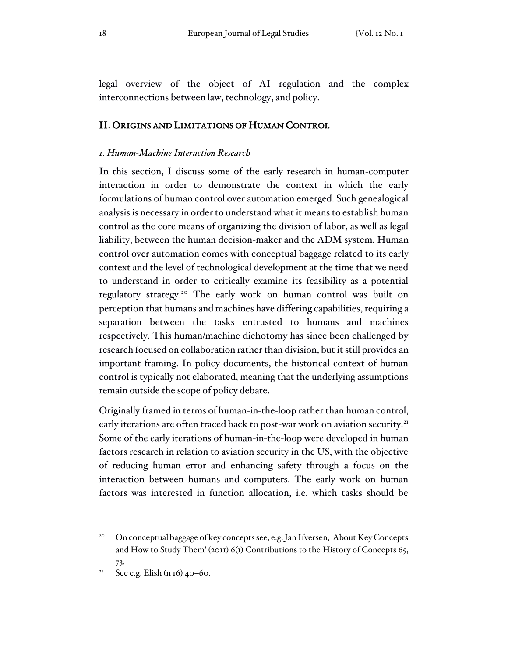legal overview of the object of AI regulation and the complex interconnections between law, technology, and policy.

### II. ORIGINS AND LIMITATIONS OF HUMAN CONTROL

### *1. Human-Machine Interaction Research*

In this section, I discuss some of the early research in human-computer interaction in order to demonstrate the context in which the early formulations of human control over automation emerged. Such genealogical analysis is necessary in order to understand what it means to establish human control as the core means of organizing the division of labor, as well as legal liability, between the human decision-maker and the ADM system. Human control over automation comes with conceptual baggage related to its early context and the level of technological development at the time that we need to understand in order to critically examine its feasibility as a potential regulatory strategy. <sup>20</sup> The early work on human control was built on perception that humans and machines have differing capabilities, requiring a separation between the tasks entrusted to humans and machines respectively. This human/machine dichotomy has since been challenged by research focused on collaboration rather than division, but it still provides an important framing. In policy documents, the historical context of human control is typically not elaborated, meaning that the underlying assumptions remain outside the scope of policy debate.

Originally framed in terms of human-in-the-loop rather than human control, early iterations are often traced back to post-war work on aviation security.<sup>21</sup> Some of the early iterations of human-in-the-loop were developed in human factors research in relation to aviation security in the US, with the objective of reducing human error and enhancing safety through a focus on the interaction between humans and computers. The early work on human factors was interested in function allocation, i.e. which tasks should be

<sup>&</sup>lt;sup>20</sup> On conceptual baggage of key concepts see, e.g. Jan Ifversen, 'About Key Concepts and How to Study Them' (2011) 6(1) Contributions to the History of Concepts 65, 73.

<sup>&</sup>lt;sup>21</sup> See e.g. Elish (n 16)  $40-60$ .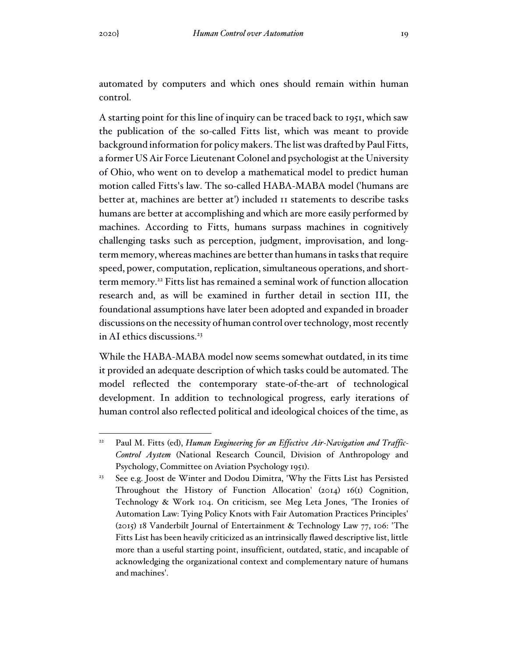automated by computers and which ones should remain within human control.

A starting point for this line of inquiry can be traced back to 1951, which saw the publication of the so-called Fitts list, which was meant to provide background information for policy makers. The listwas drafted by Paul Fitts, a former US Air Force Lieutenant Colonel and psychologist at the University of Ohio, who went on to develop a mathematical model to predict human motion called Fitts's law. The so-called HABA-MABA model ('humans are better at, machines are better at') included 11 statements to describe tasks humans are better at accomplishing and which are more easily performed by machines. According to Fitts, humans surpass machines in cognitively challenging tasks such as perception, judgment, improvisation, and longterm memory, whereas machines are better than humans in tasks that require speed, power, computation, replication, simultaneous operations, and shortterm memory. <sup>22</sup> Fitts list has remained a seminal work of function allocation research and, as will be examined in further detail in section III, the foundational assumptions have later been adopted and expanded in broader discussions on the necessity of human control over technology, most recently in AI ethics discussions. 23

While the HABA-MABA model now seems somewhat outdated, in its time it provided an adequate description of which tasks could be automated. The model reflected the contemporary state-of-the-art of technological development. In addition to technological progress, early iterations of human control also reflected political and ideological choices of the time, as

<sup>22</sup> Paul M. Fitts (ed), *Human Engineering for an Effective Air-Navigation and Traffic-Control Aystem* (National Research Council, Division of Anthropology and Psychology, Committee on Aviation Psychology 1951).

<sup>&</sup>lt;sup>23</sup> See e.g. Joost de Winter and Dodou Dimitra, 'Why the Fitts List has Persisted Throughout the History of Function Allocation' (2014) 16(1) Cognition, Technology & Work 104. On criticism, see Meg Leta Jones, 'The Ironies of Automation Law: Tying Policy Knots with Fair Automation Practices Principles' (2015) 18 Vanderbilt Journal of Entertainment & Technology Law 77, 106: 'The Fitts List has been heavily criticized as an intrinsically flawed descriptive list, little more than a useful starting point, insufficient, outdated, static, and incapable of acknowledging the organizational context and complementary nature of humans and machines'.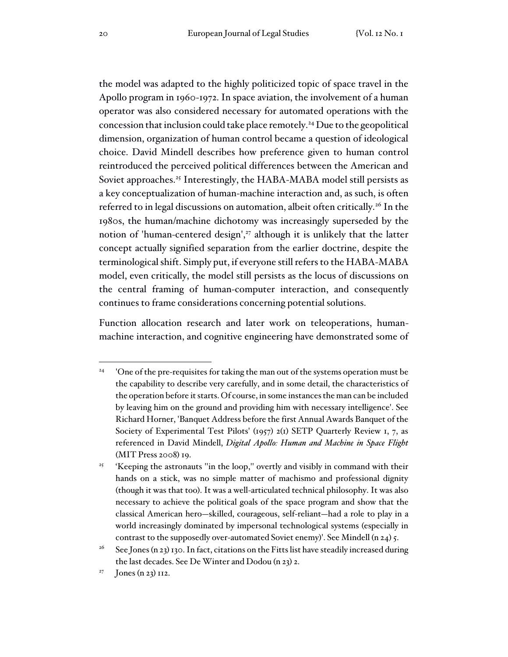the model was adapted to the highly politicized topic of space travel in the Apollo program in 1960-1972. In space aviation, the involvement of a human operator was also considered necessary for automated operations with the concession that inclusion could take place remotely. <sup>24</sup> Due to the geopolitical dimension, organization of human control became a question of ideological choice. David Mindell describes how preference given to human control reintroduced the perceived political differences between the American and Soviet approaches.<sup>25</sup> Interestingly, the HABA-MABA model still persists as a key conceptualization of human-machine interaction and, as such, is often referred to in legal discussions on automation, albeit often critically.<sup>26</sup> In the 1980s, the human/machine dichotomy was increasingly superseded by the notion of 'human-centered design', <sup>27</sup> although it is unlikely that the latter concept actually signified separation from the earlier doctrine, despite the terminological shift. Simply put, if everyone still refers to the HABA-MABA model, even critically, the model still persists as the locus of discussions on the central framing of human-computer interaction, and consequently continues to frame considerations concerning potential solutions.

Function allocation research and later work on teleoperations, humanmachine interaction, and cognitive engineering have demonstrated some of

<sup>24</sup> 'One of the pre-requisites for taking the man out of the systems operation must be the capability to describe very carefully, and in some detail, the characteristics of the operation before it starts. Of course, in some instances the man can be included by leaving him on the ground and providing him with necessary intelligence'. See Richard Horner, 'Banquet Address before the first Annual Awards Banquet of the Society of Experimental Test Pilots' (1957) 2(1) SETP Quarterly Review 1, 7, as referenced in David Mindell, *Digital Apollo: Human and Machine in Space Flight* (MIT Press 2008) 19.

<sup>25</sup> 'Keeping the astronauts ''in the loop,'' overtly and visibly in command with their hands on a stick, was no simple matter of machismo and professional dignity (though it was that too). It was a well-articulated technical philosophy. It was also necessary to achieve the political goals of the space program and show that the classical American hero—skilled, courageous, self-reliant—had a role to play in a world increasingly dominated by impersonal technological systems (especially in contrast to the supposedly over-automated Soviet enemy)'. See Mindell (n 24) 5.

<sup>&</sup>lt;sup>26</sup> See Jones (n 23) 130. In fact, citations on the Fitts list have steadily increased during the last decades. See De Winter and Dodou (n 23) 2.

<sup>27</sup> Jones (n 23) 112.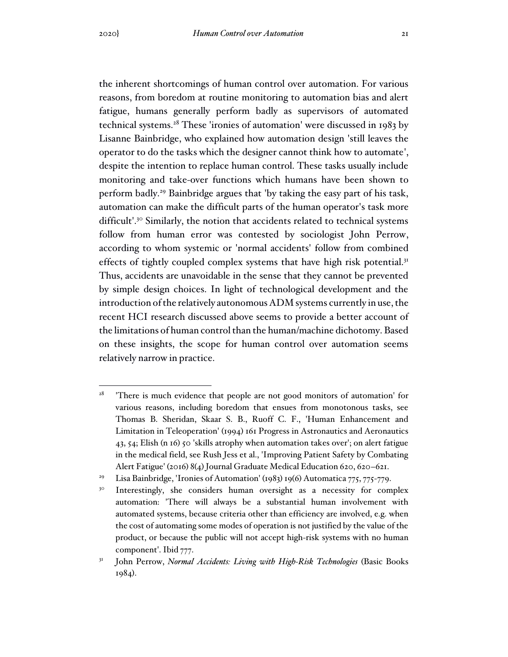the inherent shortcomings of human control over automation. For various reasons, from boredom at routine monitoring to automation bias and alert fatigue, humans generally perform badly as supervisors of automated technical systems. <sup>28</sup> These 'ironies of automation' were discussed in 1983 by Lisanne Bainbridge, who explained how automation design 'still leaves the operator to do the tasks which the designer cannot think how to automate', despite the intention to replace human control. These tasks usually include monitoring and take-over functions which humans have been shown to perform badly. <sup>29</sup> Bainbridge argues that 'by taking the easy part of his task, automation can make the difficult parts of the human operator's task more difficult'.<sup>30</sup> Similarly, the notion that accidents related to technical systems follow from human error was contested by sociologist John Perrow, according to whom systemic or 'normal accidents' follow from combined effects of tightly coupled complex systems that have high risk potential.<sup>31</sup> Thus, accidents are unavoidable in the sense that they cannot be prevented by simple design choices. In light of technological development and the introduction of the relatively autonomous ADM systems currently in use, the recent HCI research discussed above seems to provide a better account of the limitations of human control than the human/machine dichotomy. Based on these insights, the scope for human control over automation seems relatively narrow in practice.

<sup>28</sup> 'There is much evidence that people are not good monitors of automation' for various reasons, including boredom that ensues from monotonous tasks, see Thomas B. Sheridan, Skaar S. B., Ruoff C. F., 'Human Enhancement and Limitation in Teleoperation' (1994) 161 Progress in Astronautics and Aeronautics 43, 54; Elish (n 16) 50 'skills atrophy when automation takes over'; on alert fatigue in the medical field, see Rush Jess et al., 'Improving Patient Safety by Combating Alert Fatigue' (2016) 8(4) Journal Graduate Medical Education 620, 620–621.

Lisa Bainbridge, 'Ironies of Automation' (1983) 19(6) Automatica 775, 775-779.

<sup>30</sup> Interestingly, she considers human oversight as a necessity for complex automation: 'There will always be a substantial human involvement with automated systems, because criteria other than efficiency are involved, e.g. when the cost of automating some modes of operation is not justified by the value of the product, or because the public will not accept high-risk systems with no human component'. Ibid 777.

<sup>31</sup> John Perrow, *Normal Accidents: Living with High-Risk Technologies* (Basic Books 1984).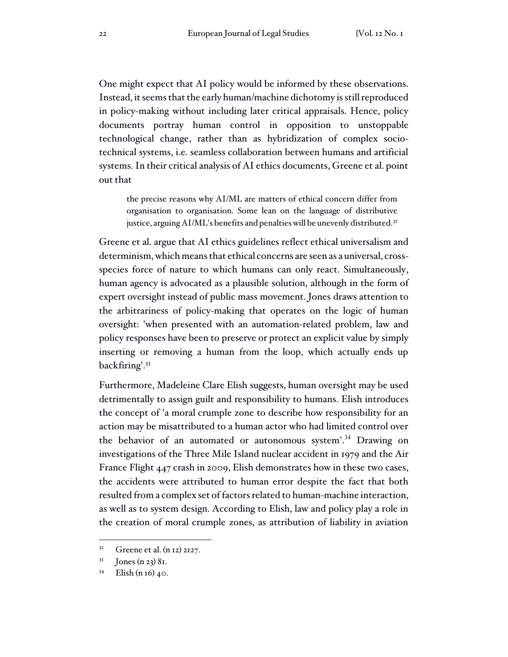One might expect that AI policy would be informed by these observations. Instead, it seems that the early human/machine dichotomy is still reproduced in policy-making without including later critical appraisals. Hence, policy documents portray human control in opposition to unstoppable technological change, rather than as hybridization of complex sociotechnical systems, i.e. seamless collaboration between humans and artificial systems. In their critical analysis of AI ethics documents, Greene et al. point out that

the precise reasons why AI/ML are matters of ethical concern differ from organisation to organisation. Some lean on the language of distributive justice, arguing AI/ML's benefits and penalties will be unevenly distributed.<sup>32</sup>

Greene et al. argue that AI ethics guidelines reflect ethical universalism and determinism, which means that ethical concerns are seen as a universal, crossspecies force of nature to which humans can only react. Simultaneously, human agency is advocated as a plausible solution, although in the form of expert oversight instead of public mass movement. Jones draws attention to the arbitrariness of policy-making that operates on the logic of human oversight: 'when presented with an automation-related problem, law and policy responses have been to preserve or protect an explicit value by simply inserting or removing a human from the loop, which actually ends up backfiring'. 33

Furthermore, Madeleine Clare Elish suggests, human oversight may be used detrimentally to assign guilt and responsibility to humans. Elish introduces the concept of 'a moral crumple zone to describe how responsibility for an action may be misattributed to a human actor who had limited control over the behavior of an automated or autonomous system'.<sup>34</sup> Drawing on investigations of the Three Mile Island nuclear accident in 1979 and the Air France Flight 447 crash in 2009, Elish demonstrates how in these two cases, the accidents were attributed to human error despite the fact that both resulted from a complex set of factors related to human-machine interaction, as well as to system design. According to Elish, law and policy play a role in the creation of moral crumple zones, as attribution of liability in aviation

<sup>32</sup> Greene et al. (n 12) 2127.

<sup>33</sup> Jones (n 23) 81.

 $34$  Elish (n 16) 40.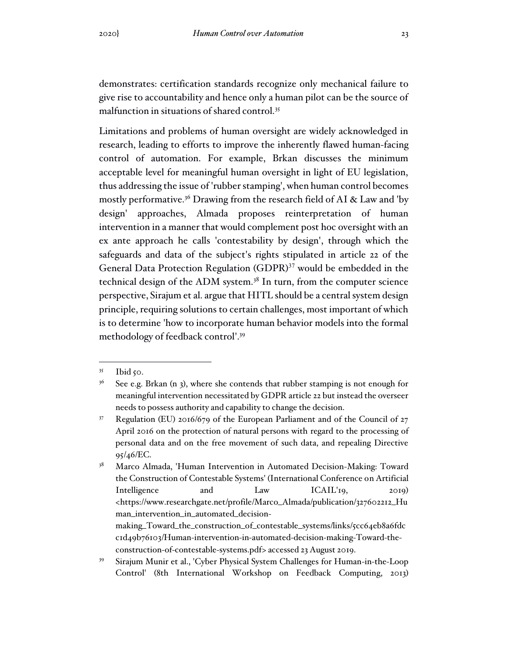demonstrates: certification standards recognize only mechanical failure to give rise to accountability and hence only a human pilot can be the source of malfunction in situations of shared control. 35

Limitations and problems of human oversight are widely acknowledged in research, leading to efforts to improve the inherently flawed human-facing control of automation. For example, Brkan discusses the minimum acceptable level for meaningful human oversight in light of EU legislation, thus addressing the issue of 'rubber stamping', when human control becomes mostly performative. <sup>36</sup> Drawing from the research field of AI & Law and 'by design' approaches, Almada proposes reinterpretation of human intervention in a manner that would complement post hoc oversight with an ex ante approach he calls 'contestability by design', through which the safeguards and data of the subject's rights stipulated in article 22 of the General Data Protection Regulation (GDPR)<sup>37</sup> would be embedded in the technical design of the ADM system. 38 In turn, from the computer science perspective, Sirajum et al. argue that HITL should be a central system design principle, requiring solutions to certain challenges, most important of which is to determine 'how to incorporate human behavior models into the formal methodology of feedback control'. 39

<sup>35</sup> Ibid  $50$ .

 $36$  See e.g. Brkan (n 3), where she contends that rubber stamping is not enough for meaningful intervention necessitated by GDPR article 22 but instead the overseer needs to possess authority and capability to change the decision.

 $37$  Regulation (EU) 2016/679 of the European Parliament and of the Council of 27 April 2016 on the protection of natural persons with regard to the processing of personal data and on the free movement of such data, and repealing Directive 95/46/EC.

<sup>&</sup>lt;sup>38</sup> Marco Almada, 'Human Intervention in Automated Decision-Making: Toward the Construction of Contestable Systems' (International Conference on Artificial Intelligence and Law ICAIL'19, 2019) <https://www.researchgate.net/profile/Marco\_Almada/publication/327602212\_Hu man\_intervention\_in\_automated\_decisionmaking\_Toward\_the\_construction\_of\_contestable\_systems/links/5cc64eb8a6fdc

c1d49b76103/Human-intervention-in-automated-decision-making-Toward-theconstruction-of-contestable-systems.pdf> accessed 23 August 2019.

<sup>39</sup> Sirajum Munir et al., 'Cyber Physical System Challenges for Human-in-the-Loop Control' (8th International Workshop on Feedback Computing, 2013)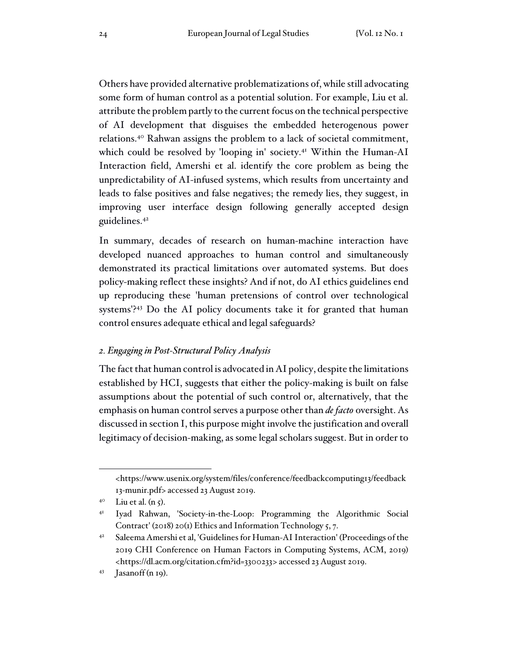Others have provided alternative problematizations of, while still advocating some form of human control as a potential solution. For example, Liu et al. attribute the problem partly to the current focus on the technical perspective of AI development that disguises the embedded heterogenous power relations. <sup>40</sup> Rahwan assigns the problem to a lack of societal commitment, which could be resolved by 'looping in' society. <sup>41</sup> Within the Human-AI Interaction field, Amershi et al. identify the core problem as being the unpredictability of AI-infused systems, which results from uncertainty and leads to false positives and false negatives; the remedy lies, they suggest, in improving user interface design following generally accepted design guidelines. 42

In summary, decades of research on human-machine interaction have developed nuanced approaches to human control and simultaneously demonstrated its practical limitations over automated systems. But does policy-making reflect these insights? And if not, do AI ethics guidelines end up reproducing these 'human pretensions of control over technological systems'? <sup>43</sup> Do the AI policy documents take it for granted that human control ensures adequate ethical and legal safeguards?

#### *2. Engaging in Post-Structural Policy Analysis*

The fact that human control is advocated in AI policy, despite the limitations established by HCI, suggests that either the policy-making is built on false assumptions about the potential of such control or, alternatively, that the emphasis on human control serves a purpose other than *de facto* oversight. As discussed in section I, this purpose might involve the justification and overall legitimacy of decision-making, as some legal scholars suggest. But in order to

<sup>&</sup>lt;https://www.usenix.org/system/files/conference/feedbackcomputing13/feedback 13-munir.pdf> accessed 23 August 2019.

 $4^{\circ}$  Liu et al. (n 5).

<sup>41</sup> Iyad Rahwan, 'Society-in-the-Loop: Programming the Algorithmic Social Contract' (2018) 20(1) Ethics and Information Technology 5, 7.

<sup>&</sup>lt;sup>42</sup> Saleema Amershi et al, 'Guidelines for Human-AI Interaction' (Proceedings of the 2019 CHI Conference on Human Factors in Computing Systems, ACM, 2019) <https://dl.acm.org/citation.cfm?id=3300233> accessed 23 August 2019.

 $43$  Jasanoff (n 19).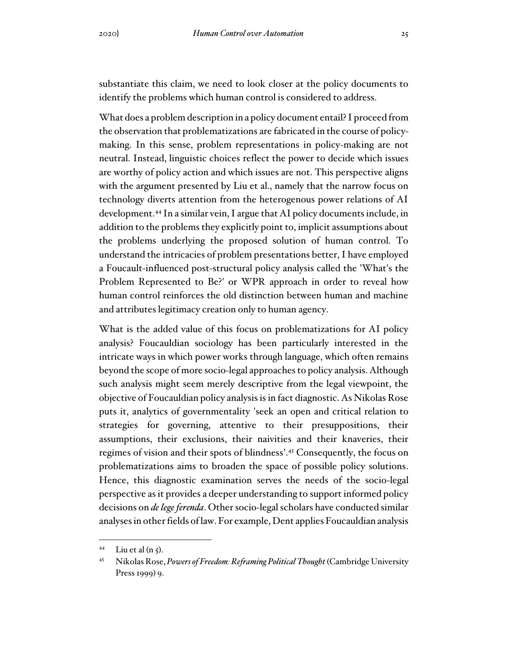substantiate this claim, we need to look closer at the policy documents to identify the problems which human control is considered to address.

What does a problem description in a policy document entail? I proceed from the observation that problematizations are fabricated in the course of policymaking. In this sense, problem representations in policy-making are not neutral. Instead, linguistic choices reflect the power to decide which issues are worthy of policy action and which issues are not. This perspective aligns with the argument presented by Liu et al., namely that the narrow focus on technology diverts attention from the heterogenous power relations of AI development.<sup>44</sup> In a similar vein, I argue that AI policy documents include, in addition to the problems they explicitly point to, implicit assumptions about the problems underlying the proposed solution of human control. To understand the intricacies of problem presentations better, I have employed a Foucault-influenced post-structural policy analysis called the 'What's the Problem Represented to Be?' or WPR approach in order to reveal how human control reinforces the old distinction between human and machine and attributes legitimacy creation only to human agency.

What is the added value of this focus on problematizations for AI policy analysis? Foucauldian sociology has been particularly interested in the intricate ways in which power works through language, which often remains beyond the scope of more socio-legal approaches to policy analysis. Although such analysis might seem merely descriptive from the legal viewpoint, the objective of Foucauldian policy analysisisin fact diagnostic. As Nikolas Rose puts it, analytics of governmentality 'seek an open and critical relation to strategies for governing, attentive to their presuppositions, their assumptions, their exclusions, their naivities and their knaveries, their regimes of vision and their spots of blindness'. <sup>45</sup> Consequently, the focus on problematizations aims to broaden the space of possible policy solutions. Hence, this diagnostic examination serves the needs of the socio-legal perspective asit provides a deeper understanding to support informed policy decisions on *de lege ferenda*. Other socio-legal scholars have conducted similar analyses in other fields of law. For example, Dent applies Foucauldian analysis

<sup>&</sup>lt;sup>44</sup> Liu et al  $(n_5)$ .

<sup>45</sup> Nikolas Rose, *Powers of Freedom:Reframing Political Thought* (Cambridge University Press 1999) 9.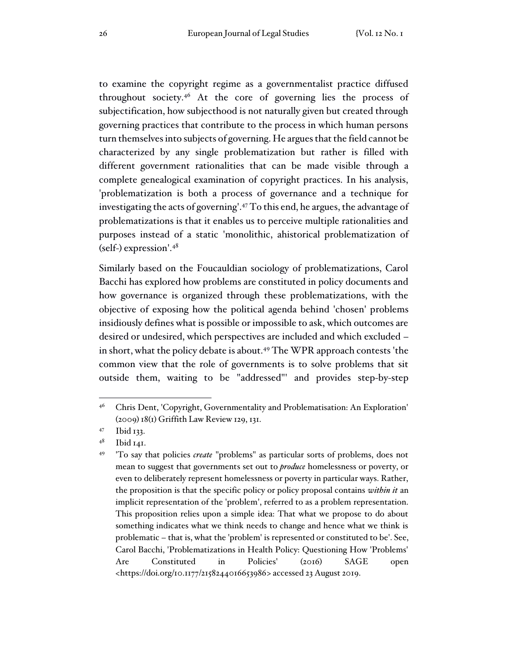to examine the copyright regime as a governmentalist practice diffused throughout society. <sup>46</sup> At the core of governing lies the process of subjectification, how subjecthood is not naturally given but created through governing practices that contribute to the process in which human persons turn themselves into subjects of governing. He argues that the field cannot be characterized by any single problematization but rather is filled with different government rationalities that can be made visible through a complete genealogical examination of copyright practices. In his analysis, 'problematization is both a process of governance and a technique for investigating the acts of governing'.<sup>47</sup> To this end, he argues, the advantage of problematizations is that it enables us to perceive multiple rationalities and purposes instead of a static 'monolithic, ahistorical problematization of (self-) expression'. 48

Similarly based on the Foucauldian sociology of problematizations, Carol Bacchi has explored how problems are constituted in policy documents and how governance is organized through these problematizations, with the objective of exposing how the political agenda behind 'chosen' problems insidiously defines what is possible or impossible to ask, which outcomes are desired or undesired, which perspectives are included and which excluded – in short, what the policy debate is about. <sup>49</sup> The WPR approach contests 'the common view that the role of governments is to solve problems that sit outside them, waiting to be "addressed"' and provides step-by-step

<sup>46</sup> Chris Dent, 'Copyright, Governmentality and Problematisation: An Exploration' (2009) 18(1) Griffith Law Review 129, 131.

<sup>47</sup> Ibid 133.

<sup>48</sup> Ibid 141.

<sup>49</sup> 'To say that policies *create* "problems" as particular sorts of problems, does not mean to suggest that governments set out to *produce* homelessness or poverty, or even to deliberately represent homelessness or poverty in particular ways. Rather, the proposition is that the specific policy or policy proposal contains *within it* an implicit representation of the 'problem', referred to as a problem representation. This proposition relies upon a simple idea: That what we propose to do about something indicates what we think needs to change and hence what we think is problematic – that is, what the 'problem' is represented or constituted to be'. See, Carol Bacchi, 'Problematizations in Health Policy: Questioning How 'Problems' Are Constituted in Policies' (2016) SAGE open <https://doi.org/10.1177/2158244016653986> accessed 23 August 2019.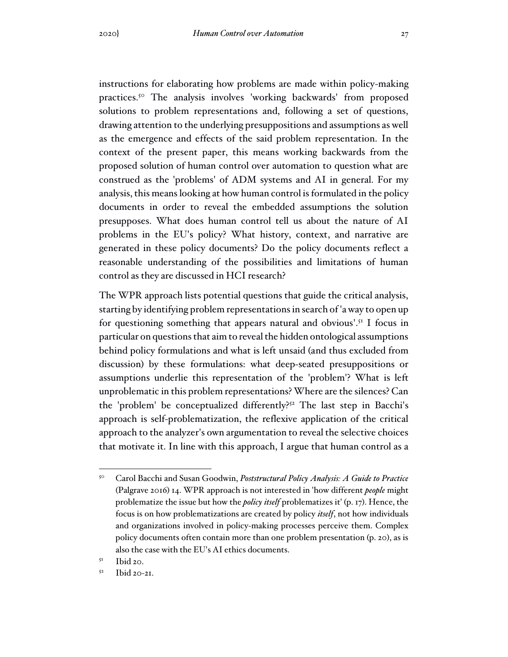instructions for elaborating how problems are made within policy-making practices. <sup>50</sup> The analysis involves 'working backwards' from proposed solutions to problem representations and, following a set of questions, drawing attention to the underlying presuppositions and assumptions as well as the emergence and effects of the said problem representation. In the context of the present paper, this means working backwards from the proposed solution of human control over automation to question what are construed as the 'problems' of ADM systems and AI in general. For my analysis, this means looking at how human control is formulated in the policy documents in order to reveal the embedded assumptions the solution presupposes. What does human control tell us about the nature of AI problems in the EU's policy? What history, context, and narrative are generated in these policy documents? Do the policy documents reflect a reasonable understanding of the possibilities and limitations of human control as they are discussed in HCI research?

The WPR approach lists potential questions that guide the critical analysis, starting by identifying problem representations in search of 'a way to open up for questioning something that appears natural and obvious'.<sup>51</sup> I focus in particular on questions that aim to reveal the hidden ontological assumptions behind policy formulations and what is left unsaid (and thus excluded from discussion) by these formulations: what deep-seated presuppositions or assumptions underlie this representation of the 'problem'? What is left unproblematic in this problem representations? Where are the silences? Can the 'problem' be conceptualized differently? <sup>52</sup> The last step in Bacchi's approach is self-problematization, the reflexive application of the critical approach to the analyzer's own argumentation to reveal the selective choices that motivate it. In line with this approach, I argue that human control as a

<sup>50</sup> Carol Bacchi and Susan Goodwin, *Poststructural Policy Analysis: A Guide to Practice* (Palgrave 2016) 14. WPR approach is not interested in 'how different *people* might problematize the issue but how the *policy itself* problematizes it' (p. 17). Hence, the focus is on how problematizations are created by policy *itself*, not how individuals and organizations involved in policy-making processes perceive them. Complex policy documents often contain more than one problem presentation (p. 20), as is also the case with the EU's AI ethics documents.

<sup>51</sup> Ibid 20.

<sup>52</sup> Ibid 20-21.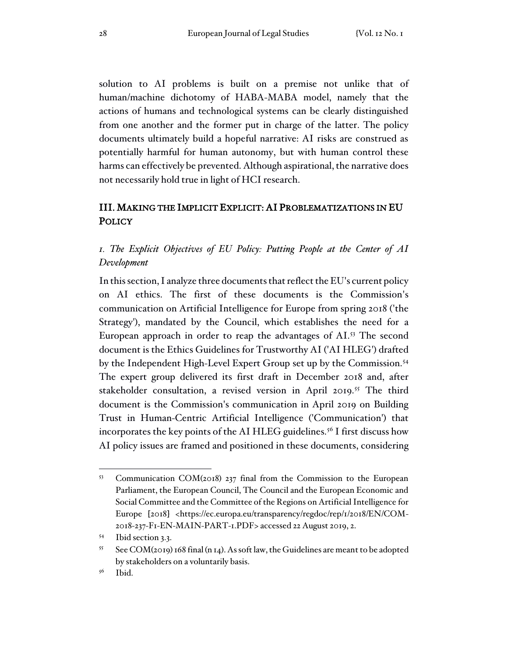solution to AI problems is built on a premise not unlike that of human/machine dichotomy of HABA-MABA model, namely that the actions of humans and technological systems can be clearly distinguished from one another and the former put in charge of the latter. The policy documents ultimately build a hopeful narrative: AI risks are construed as potentially harmful for human autonomy, but with human control these harms can effectively be prevented. Although aspirational, the narrative does not necessarily hold true in light of HCI research.

## III. MAKING THE IMPLICIT EXPLICIT: AI PROBLEMATIZATIONS IN EU **POLICY**

## *1. The Explicit Objectives of EU Policy: Putting People at the Center of AI Development*

In this section, I analyze three documents that reflect the EU's current policy on AI ethics. The first of these documents is the Commission's communication on Artificial Intelligence for Europe from spring 2018 ('the Strategy'), mandated by the Council, which establishes the need for a European approach in order to reap the advantages of AI. <sup>53</sup> The second document is the Ethics Guidelines for Trustworthy AI ('AI HLEG') drafted by the Independent High-Level Expert Group set up by the Commission. 54 The expert group delivered its first draft in December 2018 and, after stakeholder consultation, a revised version in April 2019. <sup>55</sup> The third document is the Commission's communication in April 2019 on Building Trust in Human-Centric Artificial Intelligence ('Communication') that incorporates the key points of the AI HLEG guidelines. 56 I first discuss how AI policy issues are framed and positioned in these documents, considering

<sup>53</sup> Communication COM(2018) 237 final from the Commission to the European Parliament, the European Council, The Council and the European Economic and Social Committee and the Committee of the Regions on Artificial Intelligence for Europe [2018] <https://ec.europa.eu/transparency/regdoc/rep/1/2018/EN/COM-2018-237-F1-EN-MAIN-PART-1.PDF> accessed 22 August 2019, 2.

<sup>54</sup> Ibid section 3.3.

 $55$  See COM(2019) 168 final (n 14). As soft law, the Guidelines are meant to be adopted by stakeholders on a voluntarily basis.

<sup>56</sup> Ibid.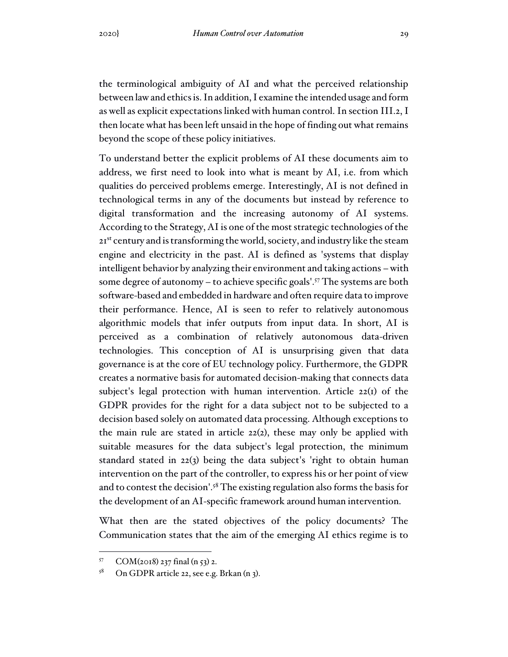the terminological ambiguity of AI and what the perceived relationship between lawand ethicsis. In addition, I examine the intended usage and form as well as explicit expectations linked with human control. In section III.2, I then locate what has been left unsaid in the hope of finding out what remains beyond the scope of these policy initiatives.

To understand better the explicit problems of AI these documents aim to address, we first need to look into what is meant by AI, i.e. from which qualities do perceived problems emerge. Interestingly, AI is not defined in technological terms in any of the documents but instead by reference to digital transformation and the increasing autonomy of AI systems. According to the Strategy, AI is one of the most strategic technologies of the 21<sup>st</sup> century and is transforming the world, society, and industry like the steam engine and electricity in the past. AI is defined as 'systems that display intelligent behavior by analyzing their environment and taking actions –with some degree of autonomy – to achieve specific goals'. <sup>57</sup> The systems are both software-based and embedded in hardware and often require data to improve their performance. Hence, AI is seen to refer to relatively autonomous algorithmic models that infer outputs from input data. In short, AI is perceived as a combination of relatively autonomous data-driven technologies. This conception of AI is unsurprising given that data governance is at the core of EU technology policy. Furthermore, the GDPR creates a normative basis for automated decision-making that connects data subject's legal protection with human intervention. Article 22(1) of the GDPR provides for the right for a data subject not to be subjected to a decision based solely on automated data processing. Although exceptions to the main rule are stated in article 22(2), these may only be applied with suitable measures for the data subject's legal protection, the minimum standard stated in 22(3) being the data subject's 'right to obtain human intervention on the part of the controller, to express his or her point of view and to contest the decision'.<sup>58</sup> The existing regulation also forms the basis for the development of an AI-specific framework around human intervention.

What then are the stated objectives of the policy documents? The Communication states that the aim of the emerging AI ethics regime is to

<sup>57</sup> COM(2018) 237 final (n 53) 2.

<sup>58</sup> On GDPR article 22, see e.g. Brkan (n 3).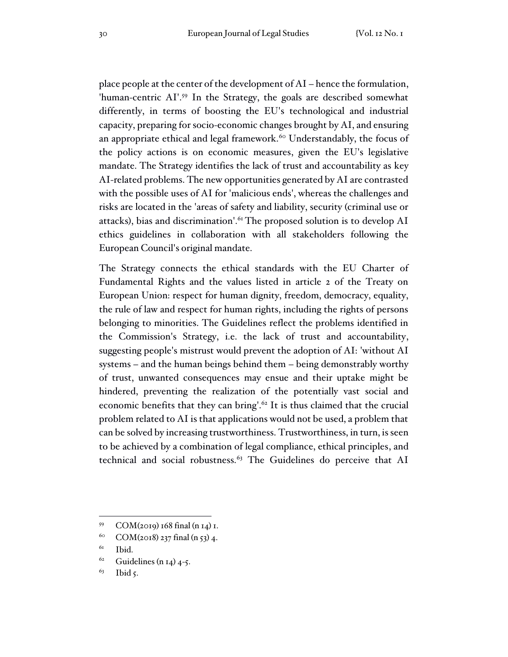place people at the center of the development of AI – hence the formulation, 'human-centric AI'. 59 In the Strategy, the goals are described somewhat differently, in terms of boosting the EU's technological and industrial capacity, preparing for socio-economic changes brought by AI, and ensuring an appropriate ethical and legal framework. <sup>60</sup> Understandably, the focus of the policy actions is on economic measures, given the EU's legislative mandate. The Strategy identifies the lack of trust and accountability as key AI-related problems. The new opportunities generated by AI are contrasted with the possible uses of AI for 'malicious ends', whereas the challenges and risks are located in the 'areas of safety and liability, security (criminal use or attacks), bias and discrimination'. <sup>61</sup> The proposed solution is to develop AI ethics guidelines in collaboration with all stakeholders following the European Council's original mandate.

The Strategy connects the ethical standards with the EU Charter of Fundamental Rights and the values listed in article 2 of the Treaty on European Union: respect for human dignity, freedom, democracy, equality, the rule of law and respect for human rights, including the rights of persons belonging to minorities. The Guidelines reflect the problems identified in the Commission's Strategy, i.e. the lack of trust and accountability, suggesting people's mistrust would prevent the adoption of AI: 'without AI systems – and the human beings behind them – being demonstrably worthy of trust, unwanted consequences may ensue and their uptake might be hindered, preventing the realization of the potentially vast social and economic benefits that they can bring'.<sup>62</sup> It is thus claimed that the crucial problem related to AI is that applications would not be used, a problem that can be solved by increasing trustworthiness. Trustworthiness, in turn, is seen to be achieved by a combination of legal compliance, ethical principles, and technical and social robustness. <sup>63</sup> The Guidelines do perceive that AI

 $62$  Guidelines (n 14) 4-5.

<sup>59</sup> COM(2019) 168 final (n 14) 1.

<sup>&</sup>lt;sup>60</sup> COM(2018) 237 final (n 53) 4.

<sup>61</sup> Ibid.

<sup>63</sup> Ibid 5.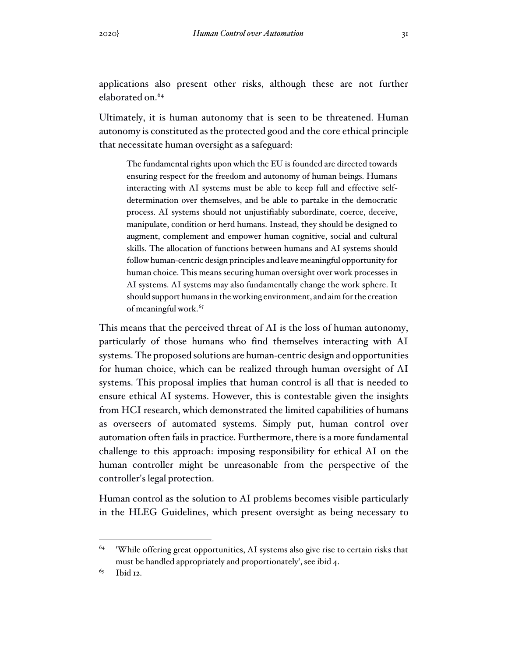applications also present other risks, although these are not further elaborated on.<sup>64</sup>

Ultimately, it is human autonomy that is seen to be threatened. Human autonomy is constituted as the protected good and the core ethical principle that necessitate human oversight as a safeguard:

The fundamental rights upon which the EU is founded are directed towards ensuring respect for the freedom and autonomy of human beings. Humans interacting with AI systems must be able to keep full and effective selfdetermination over themselves, and be able to partake in the democratic process. AI systems should not unjustifiably subordinate, coerce, deceive, manipulate, condition or herd humans. Instead, they should be designed to augment, complement and empower human cognitive, social and cultural skills. The allocation of functions between humans and AI systems should followhuman-centric design principles and leave meaningful opportunity for human choice. This means securing human oversight over work processes in AI systems. AI systems may also fundamentally change the work sphere. It should support humans in the working environment, and aim for the creation of meaningful work.<sup>65</sup>

This means that the perceived threat of AI is the loss of human autonomy, particularly of those humans who find themselves interacting with AI systems. The proposed solutions are human-centric design and opportunities for human choice, which can be realized through human oversight of AI systems. This proposal implies that human control is all that is needed to ensure ethical AI systems. However, this is contestable given the insights from HCI research, which demonstrated the limited capabilities of humans as overseers of automated systems. Simply put, human control over automation often fails in practice. Furthermore, there is a more fundamental challenge to this approach: imposing responsibility for ethical AI on the human controller might be unreasonable from the perspective of the controller's legal protection.

Human control as the solution to AI problems becomes visible particularly in the HLEG Guidelines, which present oversight as being necessary to

<sup>64</sup> 'While offering great opportunities, AI systems also give rise to certain risks that must be handled appropriately and proportionately', see ibid 4.

<sup>65</sup> Ibid 12.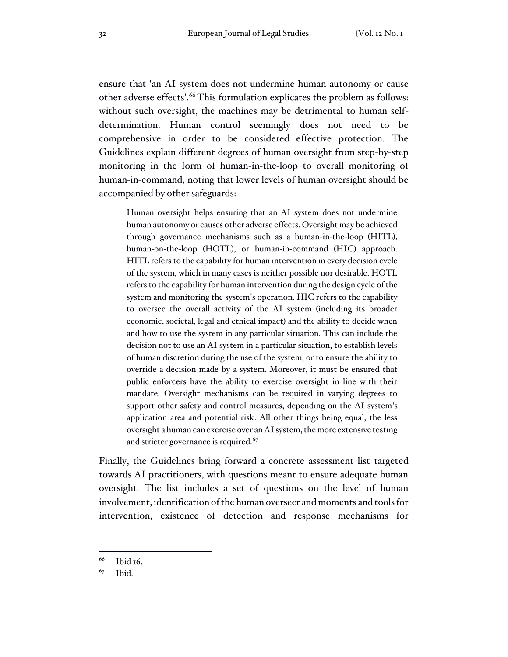ensure that 'an AI system does not undermine human autonomy or cause other adverse effects'. <sup>66</sup> This formulation explicates the problem as follows: without such oversight, the machines may be detrimental to human selfdetermination. Human control seemingly does not need to be comprehensive in order to be considered effective protection. The Guidelines explain different degrees of human oversight from step-by-step monitoring in the form of human-in-the-loop to overall monitoring of human-in-command, noting that lower levels of human oversight should be accompanied by other safeguards:

Human oversight helps ensuring that an AI system does not undermine human autonomy or causes other adverse effects. Oversight may be achieved through governance mechanisms such as a human-in-the-loop (HITL), human-on-the-loop (HOTL), or human-in-command (HIC) approach. HITL refers to the capability for human intervention in every decision cycle of the system, which in many cases is neither possible nor desirable. HOTL refers to the capability for human intervention during the design cycle of the system and monitoring the system's operation. HIC refers to the capability to oversee the overall activity of the AI system (including its broader economic, societal, legal and ethical impact) and the ability to decide when and how to use the system in any particular situation. This can include the decision not to use an AI system in a particular situation, to establish levels of human discretion during the use of the system, or to ensure the ability to override a decision made by a system. Moreover, it must be ensured that public enforcers have the ability to exercise oversight in line with their mandate. Oversight mechanisms can be required in varying degrees to support other safety and control measures, depending on the AI system's application area and potential risk. All other things being equal, the less oversight a human can exercise over an AI system, the more extensive testing and stricter governance is required.<sup>67</sup>

Finally, the Guidelines bring forward a concrete assessment list targeted towards AI practitioners, with questions meant to ensure adequate human oversight. The list includes a set of questions on the level of human involvement, identification of the human overseer and moments and tools for intervention, existence of detection and response mechanisms for

<sup>66</sup> Ibid 16.

<sup>67</sup> Ibid.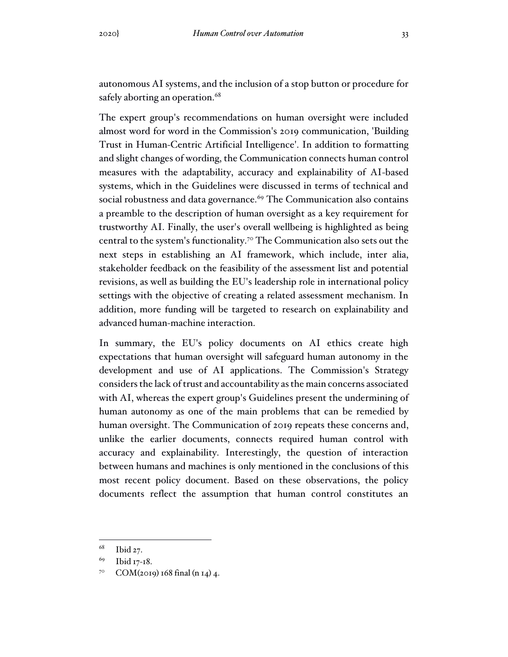autonomous AI systems, and the inclusion of a stop button or procedure for safely aborting an operation.<sup>68</sup>

The expert group's recommendations on human oversight were included almost word for word in the Commission's 2019 communication, 'Building Trust in Human-Centric Artificial Intelligence'. In addition to formatting and slight changes of wording, the Communication connects human control measures with the adaptability, accuracy and explainability of AI-based systems, which in the Guidelines were discussed in terms of technical and social robustness and data governance. <sup>69</sup> The Communication also contains a preamble to the description of human oversight as a key requirement for trustworthy AI. Finally, the user's overall wellbeing is highlighted as being central to the system's functionality. <sup>70</sup> The Communication also sets out the next steps in establishing an AI framework, which include, inter alia, stakeholder feedback on the feasibility of the assessment list and potential revisions, as well as building the EU's leadership role in international policy settings with the objective of creating a related assessment mechanism. In addition, more funding will be targeted to research on explainability and advanced human-machine interaction.

In summary, the EU's policy documents on AI ethics create high expectations that human oversight will safeguard human autonomy in the development and use of AI applications. The Commission's Strategy considers the lack of trust and accountability as the main concerns associated with AI, whereas the expert group's Guidelines present the undermining of human autonomy as one of the main problems that can be remedied by human oversight. The Communication of 2019 repeats these concerns and, unlike the earlier documents, connects required human control with accuracy and explainability. Interestingly, the question of interaction between humans and machines is only mentioned in the conclusions of this most recent policy document. Based on these observations, the policy documents reflect the assumption that human control constitutes an

<sup>68</sup> Ibid 27.

<sup>69</sup> Ibid 17-18.

 $7^{\circ}$  COM(2019) 168 final (n 14) 4.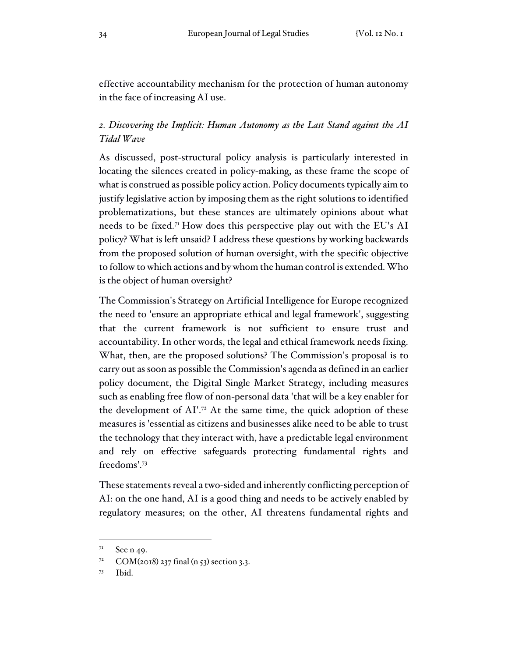effective accountability mechanism for the protection of human autonomy in the face of increasing AI use.

# *2. Discovering the Implicit: Human Autonomy as the Last Stand against the AI Tidal Wave*

As discussed, post-structural policy analysis is particularly interested in locating the silences created in policy-making, as these frame the scope of what is construed as possible policy action. Policy documents typically aim to justify legislative action by imposing them as the right solutions to identified problematizations, but these stances are ultimately opinions about what needs to be fixed.<sup>71</sup> How does this perspective play out with the EU's AI policy? What is left unsaid? I address these questions by working backwards from the proposed solution of human oversight, with the specific objective to follow to which actions and bywhom the human control is extended.Who is the object of human oversight?

The Commission's Strategy on Artificial Intelligence for Europe recognized the need to 'ensure an appropriate ethical and legal framework', suggesting that the current framework is not sufficient to ensure trust and accountability. In other words, the legal and ethical framework needs fixing. What, then, are the proposed solutions? The Commission's proposal is to carry out assoon as possible the Commission's agenda as defined in an earlier policy document, the Digital Single Market Strategy, including measures such as enabling free flow of non-personal data 'that will be a key enabler for the development of AI'. <sup>72</sup> At the same time, the quick adoption of these measures is 'essential as citizens and businesses alike need to be able to trust the technology that they interact with, have a predictable legal environment and rely on effective safeguards protecting fundamental rights and freedoms'. 73

These statements reveal a two-sided and inherently conflicting perception of AI: on the one hand, AI is a good thing and needs to be actively enabled by regulatory measures; on the other, AI threatens fundamental rights and

 $7<sup>1</sup>$  See n 49.

 $7^2$  COM(2018) 237 final (n 53) section 3.3.

 $73$  Ibid.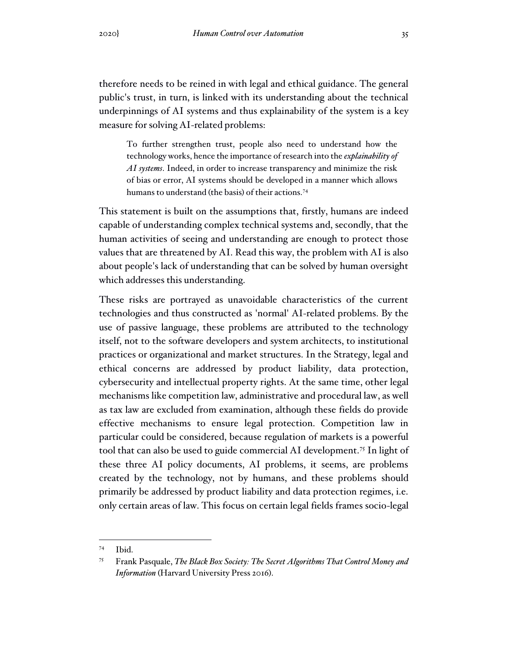therefore needs to be reined in with legal and ethical guidance. The general public's trust, in turn, is linked with its understanding about the technical underpinnings of AI systems and thus explainability of the system is a key measure for solving AI-related problems:

To further strengthen trust, people also need to understand how the technology works, hence the importance ofresearch into the *explainability of AI systems*. Indeed, in order to increase transparency and minimize the risk of bias or error, AI systems should be developed in a manner which allows humans to understand (the basis) of their actions. 74

This statement is built on the assumptions that, firstly, humans are indeed capable of understanding complex technical systems and, secondly, that the human activities of seeing and understanding are enough to protect those values that are threatened by AI. Read this way, the problem with AI is also about people's lack of understanding that can be solved by human oversight which addresses this understanding.

These risks are portrayed as unavoidable characteristics of the current technologies and thus constructed as 'normal' AI-related problems. By the use of passive language, these problems are attributed to the technology itself, not to the software developers and system architects, to institutional practices or organizational and market structures. In the Strategy, legal and ethical concerns are addressed by product liability, data protection, cybersecurity and intellectual property rights. At the same time, other legal mechanisms like competition law, administrative and procedural law, as well as tax law are excluded from examination, although these fields do provide effective mechanisms to ensure legal protection. Competition law in particular could be considered, because regulation of markets is a powerful tool that can also be used to guide commercial AI development. 75 In light of these three AI policy documents, AI problems, it seems, are problems created by the technology, not by humans, and these problems should primarily be addressed by product liability and data protection regimes, i.e. only certain areas of law. This focus on certain legal fields frames socio-legal

<sup>74</sup> Ibid.

<sup>75</sup> Frank Pasquale, *The Black Box Society: The Secret Algorithms That Control Money and Information* (Harvard University Press 2016).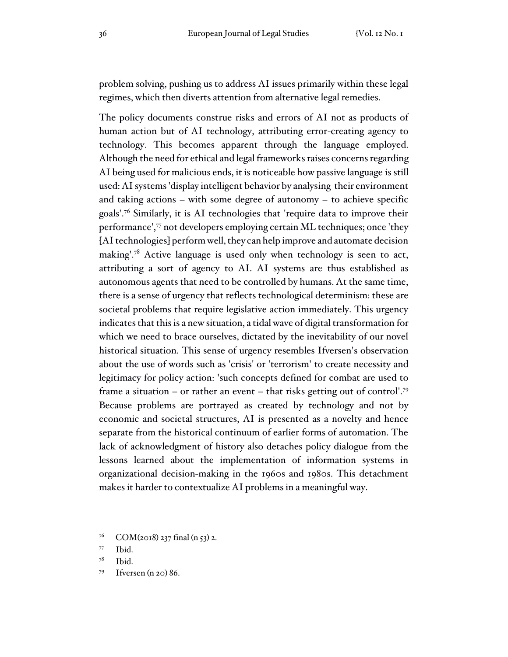problem solving, pushing us to address AI issues primarily within these legal regimes, which then diverts attention from alternative legal remedies.

The policy documents construe risks and errors of AI not as products of human action but of AI technology, attributing error-creating agency to technology. This becomes apparent through the language employed. Although the need for ethical and legal frameworks raises concerns regarding AI being used for malicious ends, it is noticeable how passive language is still used: AI systems'display intelligent behavior by analysing their environment and taking actions – with some degree of autonomy – to achieve specific goals'. <sup>76</sup> Similarly, it is AI technologies that 'require data to improve their performance',<sup>77</sup> not developers employing certain ML techniques; once 'they [AI technologies] perform well, they can help improve and automate decision making'.<sup>78</sup> Active language is used only when technology is seen to act, attributing a sort of agency to AI. AI systems are thus established as autonomous agents that need to be controlled by humans. At the same time, there is a sense of urgency that reflects technological determinism: these are societal problems that require legislative action immediately. This urgency indicates that this is a new situation, a tidal wave of digital transformation for which we need to brace ourselves, dictated by the inevitability of our novel historical situation. This sense of urgency resembles Ifversen's observation about the use of words such as 'crisis' or 'terrorism' to create necessity and legitimacy for policy action: 'such concepts defined for combat are used to frame a situation – or rather an event – that risks getting out of control'. 79 Because problems are portrayed as created by technology and not by economic and societal structures, AI is presented as a novelty and hence separate from the historical continuum of earlier forms of automation. The lack of acknowledgment of history also detaches policy dialogue from the lessons learned about the implementation of information systems in organizational decision-making in the 1960s and 1980s. This detachment makes it harder to contextualize AI problems in a meaningful way.

 $7^6$  COM(2018) 237 final (n 53) 2.

<sup>77</sup> Ibid.

<sup>78</sup> Ibid.

 $79$  Ifversen (n 20) 86.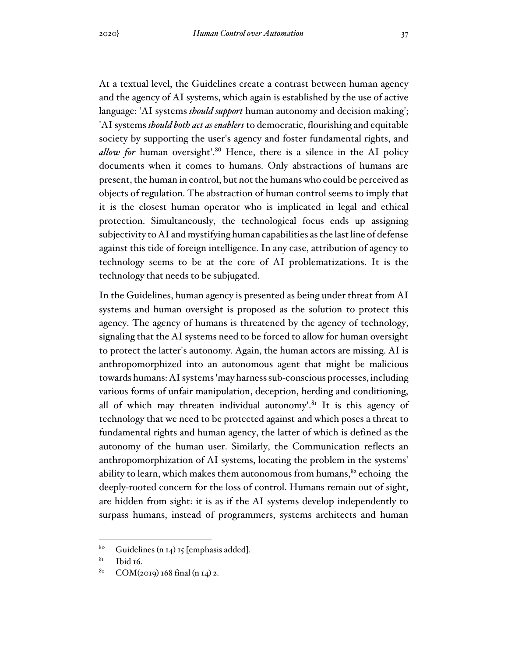At a textual level, the Guidelines create a contrast between human agency and the agency of AI systems, which again is established by the use of active language: 'AI systems *should support* human autonomy and decision making'; 'AI systems *should both act as enablers* to democratic, flourishing and equitable society by supporting the user's agency and foster fundamental rights, and allow for human oversight'.<sup>80</sup> Hence, there is a silence in the AI policy documents when it comes to humans. Only abstractions of humans are present, the human in control, but not the humans who could be perceived as objects of regulation. The abstraction of human control seems to imply that it is the closest human operator who is implicated in legal and ethical protection. Simultaneously, the technological focus ends up assigning subjectivity to AI and mystifying human capabilities asthe last line of defense against this tide of foreign intelligence. In any case, attribution of agency to technology seems to be at the core of AI problematizations. It is the technology that needs to be subjugated.

In the Guidelines, human agency is presented as being under threat from AI systems and human oversight is proposed as the solution to protect this agency. The agency of humans is threatened by the agency of technology, signaling that the AI systems need to be forced to allow for human oversight to protect the latter's autonomy. Again, the human actors are missing. AI is anthropomorphized into an autonomous agent that might be malicious towards humans: AI systems'may harnesssub-conscious processes, including various forms of unfair manipulation, deception, herding and conditioning, all of which may threaten individual autonomy'. $81$  It is this agency of technology that we need to be protected against and which poses a threat to fundamental rights and human agency, the latter of which is defined as the autonomy of the human user. Similarly, the Communication reflects an anthropomorphization of AI systems, locating the problem in the systems' ability to learn, which makes them autonomous from humans, <sup>82</sup> echoing the deeply-rooted concern for the loss of control. Humans remain out of sight, are hidden from sight: it is as if the AI systems develop independently to surpass humans, instead of programmers, systems architects and human

 $80$  Guidelines (n 14) 15 [emphasis added].

<sup>81</sup> Ibid 16.

 $82$  COM(2019) 168 final (n 14) 2.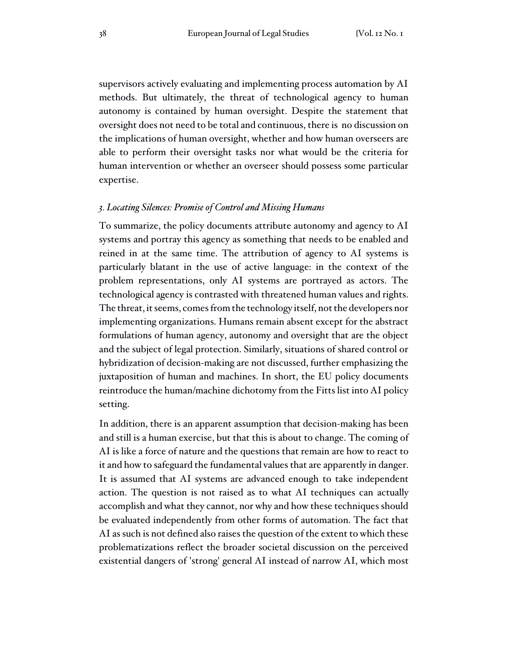supervisors actively evaluating and implementing process automation by AI methods. But ultimately, the threat of technological agency to human autonomy is contained by human oversight. Despite the statement that oversight does not need to be total and continuous, there is no discussion on the implications of human oversight, whether and how human overseers are able to perform their oversight tasks nor what would be the criteria for human intervention or whether an overseer should possess some particular expertise.

#### *3. Locating Silences: Promise of Control and Missing Humans*

To summarize, the policy documents attribute autonomy and agency to AI systems and portray this agency as something that needs to be enabled and reined in at the same time. The attribution of agency to AI systems is particularly blatant in the use of active language: in the context of the problem representations, only AI systems are portrayed as actors. The technological agency is contrasted with threatened human values and rights. The threat, it seems, comes from the technology itself, not the developers nor implementing organizations. Humans remain absent except for the abstract formulations of human agency, autonomy and oversight that are the object and the subject of legal protection. Similarly, situations of shared control or hybridization of decision-making are not discussed, further emphasizing the juxtaposition of human and machines. In short, the EU policy documents reintroduce the human/machine dichotomy from the Fitts list into AI policy setting.

In addition, there is an apparent assumption that decision-making has been and still is a human exercise, but that this is about to change. The coming of AI is like a force of nature and the questions that remain are how to react to it and how to safeguard the fundamental values that are apparently in danger. It is assumed that AI systems are advanced enough to take independent action. The question is not raised as to what AI techniques can actually accomplish and what they cannot, nor why and how these techniques should be evaluated independently from other forms of automation. The fact that AI assuch is not defined also raises the question of the extent to which these problematizations reflect the broader societal discussion on the perceived existential dangers of 'strong' general AI instead of narrow AI, which most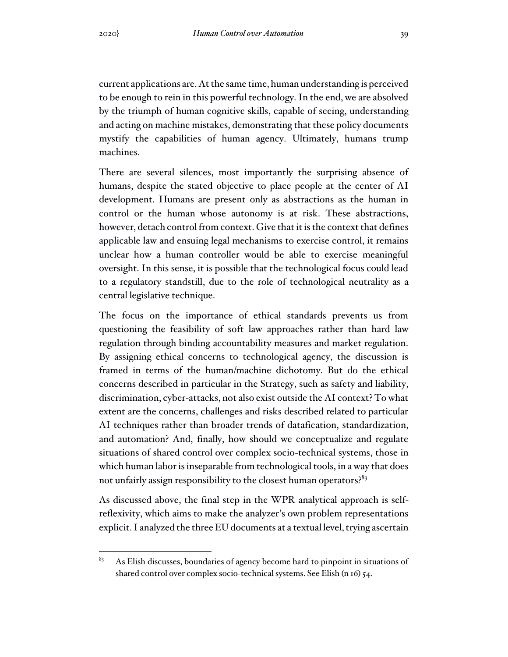current applications are. Atthe same time, human understanding is perceived to be enough to rein in this powerful technology. In the end, we are absolved by the triumph of human cognitive skills, capable of seeing, understanding and acting on machine mistakes, demonstrating that these policy documents mystify the capabilities of human agency. Ultimately, humans trump machines.

There are several silences, most importantly the surprising absence of humans, despite the stated objective to place people at the center of AI development. Humans are present only as abstractions as the human in control or the human whose autonomy is at risk. These abstractions, however, detach control from context. Give that it is the context that defines applicable law and ensuing legal mechanisms to exercise control, it remains unclear how a human controller would be able to exercise meaningful oversight. In this sense, it is possible that the technological focus could lead to a regulatory standstill, due to the role of technological neutrality as a central legislative technique.

The focus on the importance of ethical standards prevents us from questioning the feasibility of soft law approaches rather than hard law regulation through binding accountability measures and market regulation. By assigning ethical concerns to technological agency, the discussion is framed in terms of the human/machine dichotomy. But do the ethical concerns described in particular in the Strategy, such as safety and liability, discrimination, cyber-attacks, not also exist outside the AI context? To what extent are the concerns, challenges and risks described related to particular AI techniques rather than broader trends of datafication, standardization, and automation? And, finally, how should we conceptualize and regulate situations of shared control over complex socio-technical systems, those in which human labor is inseparable from technological tools, in a way that does not unfairly assign responsibility to the closest human operators?<sup>83</sup>

As discussed above, the final step in the WPR analytical approach is selfreflexivity, which aims to make the analyzer's own problem representations explicit. I analyzed the three EU documents at a textual level, trying ascertain

 $83$  As Elish discusses, boundaries of agency become hard to pinpoint in situations of shared control over complex socio-technical systems. See Elish (n 16) 54.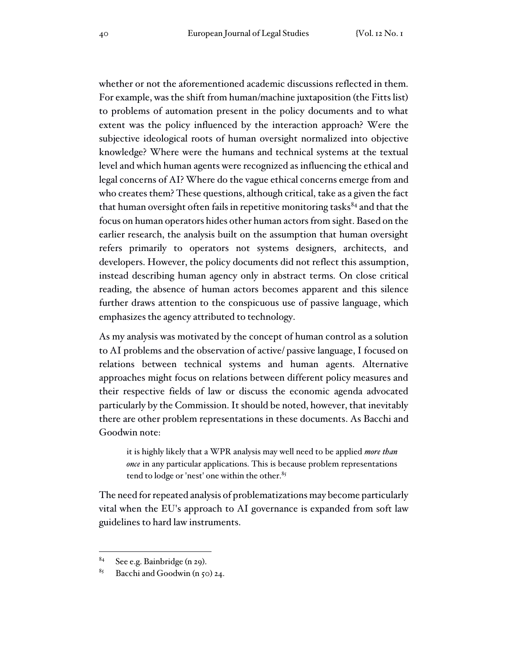whether or not the aforementioned academic discussions reflected in them. For example, was the shift from human/machine juxtaposition (the Fitts list) to problems of automation present in the policy documents and to what extent was the policy influenced by the interaction approach? Were the subjective ideological roots of human oversight normalized into objective knowledge? Where were the humans and technical systems at the textual level and which human agents were recognized as influencing the ethical and legal concerns of AI? Where do the vague ethical concerns emerge from and who creates them? These questions, although critical, take as a given the fact that human oversight often fails in repetitive monitoring tasks<sup>84</sup> and that the focus on human operators hides other human actors from sight. Based on the earlier research, the analysis built on the assumption that human oversight refers primarily to operators not systems designers, architects, and developers. However, the policy documents did not reflect this assumption, instead describing human agency only in abstract terms. On close critical reading, the absence of human actors becomes apparent and this silence further draws attention to the conspicuous use of passive language, which emphasizes the agency attributed to technology.

As my analysis was motivated by the concept of human control as a solution to AI problems and the observation of active/ passive language, I focused on relations between technical systems and human agents. Alternative approaches might focus on relations between different policy measures and their respective fields of law or discuss the economic agenda advocated particularly by the Commission. It should be noted, however, that inevitably there are other problem representations in these documents. As Bacchi and Goodwin note:

it is highly likely that a WPR analysis may well need to be applied *more than once* in any particular applications. This is because problem representations tend to lodge or 'nest' one within the other.<sup>85</sup>

The need for repeated analysis of problematizations may become particularly vital when the EU's approach to AI governance is expanded from soft law guidelines to hard law instruments.

 $84$  See e.g. Bainbridge (n 29).

<sup>&</sup>lt;sup>85</sup> Bacchi and Goodwin (n 50) 24.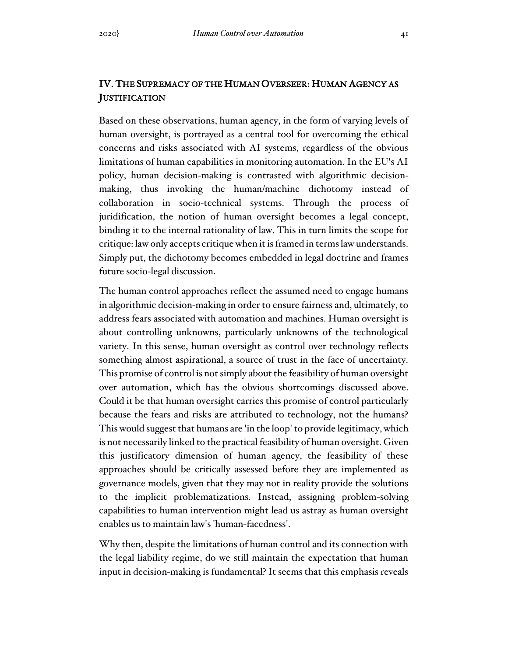## IV. THE SUPREMACY OF THE HUMAN OVERSEER: HUMAN AGENCY AS **JUSTIFICATION**

Based on these observations, human agency, in the form of varying levels of human oversight, is portrayed as a central tool for overcoming the ethical concerns and risks associated with AI systems, regardless of the obvious limitations of human capabilities in monitoring automation. In the EU's AI policy, human decision-making is contrasted with algorithmic decisionmaking, thus invoking the human/machine dichotomy instead of collaboration in socio-technical systems. Through the process of juridification, the notion of human oversight becomes a legal concept, binding it to the internal rationality of law. This in turn limits the scope for critique: law only accepts critique when it is framed in terms law understands. Simply put, the dichotomy becomes embedded in legal doctrine and frames future socio-legal discussion.

The human control approaches reflect the assumed need to engage humans in algorithmic decision-making in order to ensure fairness and, ultimately, to address fears associated with automation and machines. Human oversight is about controlling unknowns, particularly unknowns of the technological variety. In this sense, human oversight as control over technology reflects something almost aspirational, a source of trust in the face of uncertainty. This promise of control is not simply about the feasibility of human oversight over automation, which has the obvious shortcomings discussed above. Could it be that human oversight carries this promise of control particularly because the fears and risks are attributed to technology, not the humans? This would suggest that humans are 'in the loop' to provide legitimacy, which is not necessarily linked to the practical feasibility of human oversight. Given this justificatory dimension of human agency, the feasibility of these approaches should be critically assessed before they are implemented as governance models, given that they may not in reality provide the solutions to the implicit problematizations. Instead, assigning problem-solving capabilities to human intervention might lead us astray as human oversight enables us to maintain law's 'human-facedness'.

Why then, despite the limitations of human control and its connection with the legal liability regime, do we still maintain the expectation that human input in decision-making is fundamental? It seems that this emphasis reveals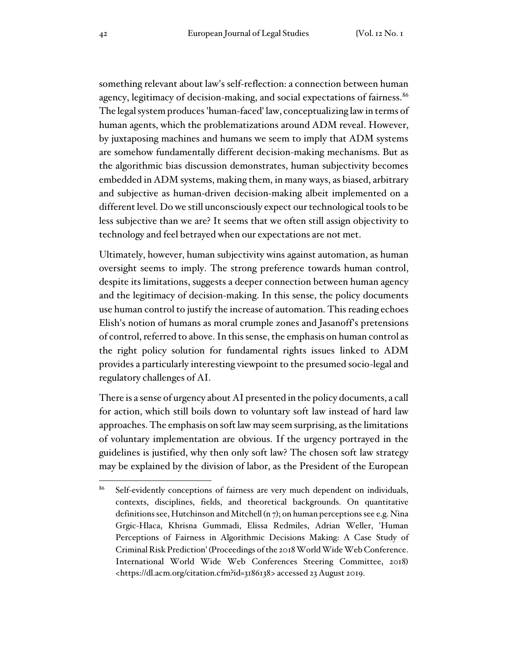something relevant about law's self-reflection: a connection between human agency, legitimacy of decision-making, and social expectations of fairness. 86 The legal system produces 'human-faced' law, conceptualizing law in terms of human agents, which the problematizations around ADM reveal. However, by juxtaposing machines and humans we seem to imply that ADM systems are somehow fundamentally different decision-making mechanisms. But as the algorithmic bias discussion demonstrates, human subjectivity becomes embedded in ADM systems, making them, in many ways, as biased, arbitrary and subjective as human-driven decision-making albeit implemented on a different level. Do we still unconsciously expect our technological tools to be less subjective than we are? It seems that we often still assign objectivity to technology and feel betrayed when our expectations are not met.

Ultimately, however, human subjectivity wins against automation, as human oversight seems to imply. The strong preference towards human control, despite its limitations, suggests a deeper connection between human agency and the legitimacy of decision-making. In this sense, the policy documents use human control to justify the increase of automation. This reading echoes Elish's notion of humans as moral crumple zones and Jasanoff's pretensions of control, referred to above. In this sense, the emphasis on human control as the right policy solution for fundamental rights issues linked to ADM provides a particularly interesting viewpoint to the presumed socio-legal and regulatory challenges of AI.

There is a sense of urgency about AI presented in the policy documents, a call for action, which still boils down to voluntary soft law instead of hard law approaches. The emphasis on soft law may seem surprising, asthe limitations of voluntary implementation are obvious. If the urgency portrayed in the guidelines is justified, why then only soft law? The chosen soft law strategy may be explained by the division of labor, as the President of the European

<sup>&</sup>lt;sup>86</sup> Self-evidently conceptions of fairness are very much dependent on individuals, contexts, disciplines, fields, and theoretical backgrounds. On quantitative definitions see, Hutchinson and Mitchell (n 7); on human perceptions see e.g. Nina Grgic-Hlaca, Khrisna Gummadi, Elissa Redmiles, Adrian Weller, 'Human Perceptions of Fairness in Algorithmic Decisions Making: A Case Study of Criminal Risk Prediction' (Proceedings of the 2018 World Wide Web Conference. International World Wide Web Conferences Steering Committee, 2018) <https://dl.acm.org/citation.cfm?id=3186138> accessed 23 August 2019.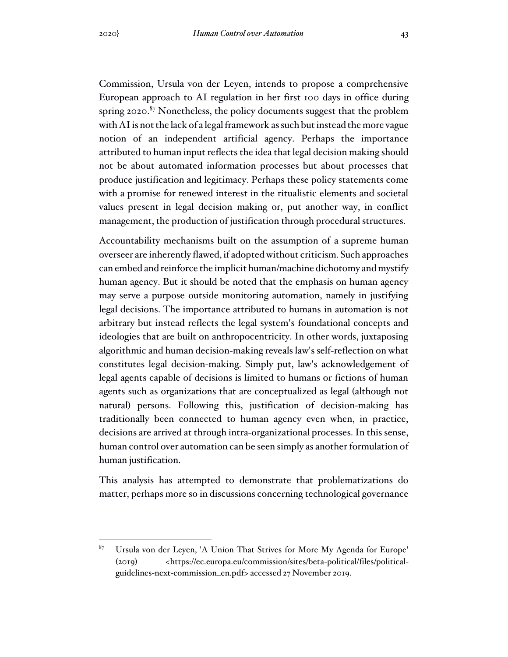Commission, Ursula von der Leyen, intends to propose a comprehensive European approach to AI regulation in her first 100 days in office during spring 2020.<sup>87</sup> Nonetheless, the policy documents suggest that the problem with AI is not the lack of a legal framework as such but instead the more vague notion of an independent artificial agency. Perhaps the importance attributed to human input reflects the idea that legal decision making should not be about automated information processes but about processes that produce justification and legitimacy. Perhaps these policy statements come with a promise for renewed interest in the ritualistic elements and societal values present in legal decision making or, put another way, in conflict management, the production of justification through procedural structures.

Accountability mechanisms built on the assumption of a supreme human overseer are inherently flawed, if adoptedwithout criticism. Such approaches can embed and reinforce the implicit human/machine dichotomy and mystify human agency. But it should be noted that the emphasis on human agency may serve a purpose outside monitoring automation, namely in justifying legal decisions. The importance attributed to humans in automation is not arbitrary but instead reflects the legal system's foundational concepts and ideologies that are built on anthropocentricity. In other words, juxtaposing algorithmic and human decision-making reveals law's self-reflection on what constitutes legal decision-making. Simply put, law's acknowledgement of legal agents capable of decisions is limited to humans or fictions of human agents such as organizations that are conceptualized as legal (although not natural) persons. Following this, justification of decision-making has traditionally been connected to human agency even when, in practice, decisions are arrived at through intra-organizational processes. In this sense, human control over automation can be seen simply as another formulation of human justification.

This analysis has attempted to demonstrate that problematizations do matter, perhaps more so in discussions concerning technological governance

<sup>87</sup> Ursula von der Leyen, 'A Union That Strives for More My Agenda for Europe' (2019) <https://ec.europa.eu/commission/sites/beta-political/files/politicalguidelines-next-commission\_en.pdf> accessed 27 November 2019.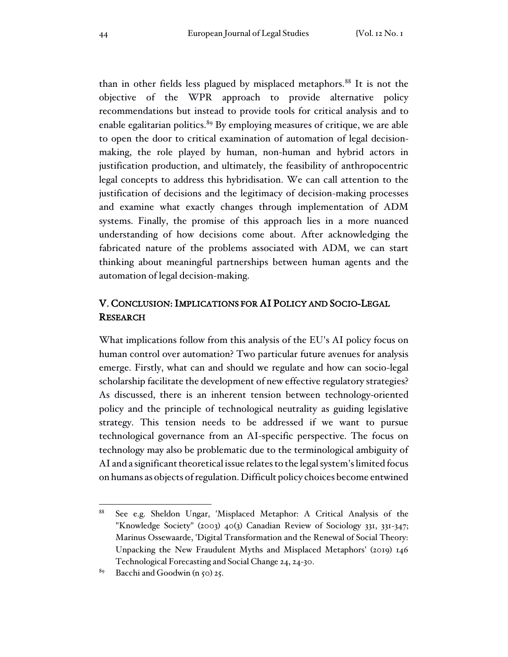than in other fields less plagued by misplaced metaphors. 88 It is not the objective of the WPR approach to provide alternative policy recommendations but instead to provide tools for critical analysis and to enable egalitarian politics.<sup>89</sup> By employing measures of critique, we are able to open the door to critical examination of automation of legal decisionmaking, the role played by human, non-human and hybrid actors in justification production, and ultimately, the feasibility of anthropocentric legal concepts to address this hybridisation. We can call attention to the justification of decisions and the legitimacy of decision-making processes and examine what exactly changes through implementation of ADM systems. Finally, the promise of this approach lies in a more nuanced understanding of how decisions come about. After acknowledging the fabricated nature of the problems associated with ADM, we can start thinking about meaningful partnerships between human agents and the automation of legal decision-making.

## V. CONCLUSION: IMPLICATIONS FOR AI POLICY AND SOCIO-LEGAL RESEARCH

What implications follow from this analysis of the EU's AI policy focus on human control over automation? Two particular future avenues for analysis emerge. Firstly, what can and should we regulate and how can socio-legal scholarship facilitate the development of new effective regulatory strategies? As discussed, there is an inherent tension between technology-oriented policy and the principle of technological neutrality as guiding legislative strategy. This tension needs to be addressed if we want to pursue technological governance from an AI-specific perspective. The focus on technology may also be problematic due to the terminological ambiguity of AI and a significant theoretical issue relates to the legal system's limited focus on humans as objects ofregulation. Difficult policy choices become entwined

<sup>88</sup> See e.g. Sheldon Ungar, 'Misplaced Metaphor: A Critical Analysis of the "Knowledge Society" (2003) 40(3) Canadian Review of Sociology 331, 331-347; Marinus Ossewaarde, 'Digital Transformation and the Renewal of Social Theory: Unpacking the New Fraudulent Myths and Misplaced Metaphors' (2019) 146 Technological Forecasting and Social Change 24, 24-30.

<sup>&</sup>lt;sup>89</sup> Bacchi and Goodwin (n 50) 25.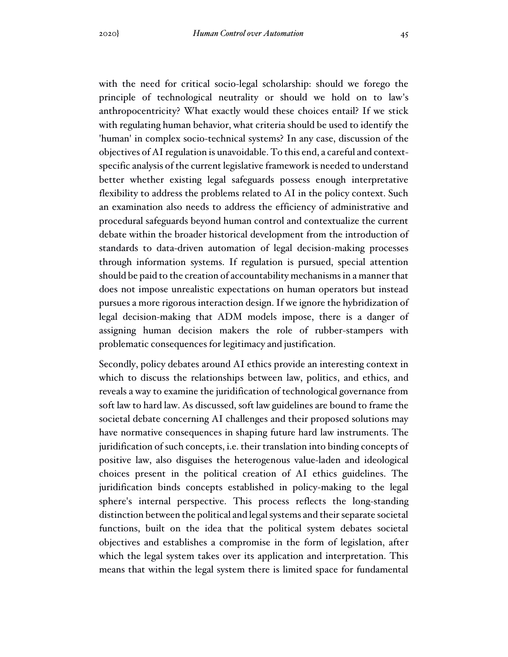with the need for critical socio-legal scholarship: should we forego the principle of technological neutrality or should we hold on to law's anthropocentricity? What exactly would these choices entail? If we stick with regulating human behavior, what criteria should be used to identify the 'human' in complex socio-technical systems? In any case, discussion of the objectives of AI regulation is unavoidable. To this end, a careful and contextspecific analysis of the current legislative framework is needed to understand better whether existing legal safeguards possess enough interpretative flexibility to address the problems related to AI in the policy context. Such an examination also needs to address the efficiency of administrative and procedural safeguards beyond human control and contextualize the current debate within the broader historical development from the introduction of standards to data-driven automation of legal decision-making processes through information systems. If regulation is pursued, special attention should be paid to the creation of accountability mechanisms in a manner that does not impose unrealistic expectations on human operators but instead pursues a more rigorous interaction design. If we ignore the hybridization of legal decision-making that ADM models impose, there is a danger of assigning human decision makers the role of rubber-stampers with problematic consequences for legitimacy and justification.

Secondly, policy debates around AI ethics provide an interesting context in which to discuss the relationships between law, politics, and ethics, and reveals a way to examine the juridification of technological governance from soft law to hard law. As discussed, soft law guidelines are bound to frame the societal debate concerning AI challenges and their proposed solutions may have normative consequences in shaping future hard law instruments. The juridification of such concepts, i.e. their translation into binding concepts of positive law, also disguises the heterogenous value-laden and ideological choices present in the political creation of AI ethics guidelines. The juridification binds concepts established in policy-making to the legal sphere's internal perspective. This process reflects the long-standing distinction between the political and legal systems and their separate societal functions, built on the idea that the political system debates societal objectives and establishes a compromise in the form of legislation, after which the legal system takes over its application and interpretation. This means that within the legal system there is limited space for fundamental